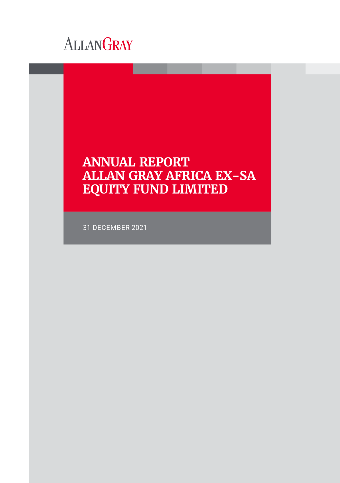

# **ANNUAL REPORT ALLAN GRAY AFRICA EX-SA EQUITY FUND LIMITED**

31 DECEMBER 2021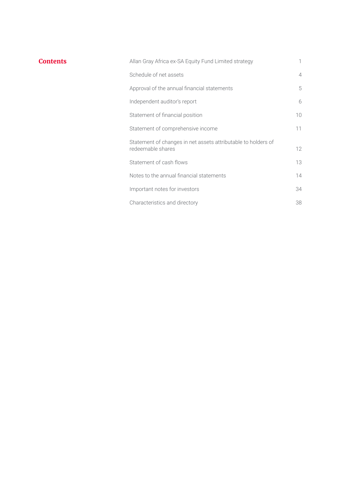| Contents | Allan Gray Africa ex-SA Equity Fund Limited strategy                               |                |
|----------|------------------------------------------------------------------------------------|----------------|
|          | Schedule of net assets                                                             | $\overline{4}$ |
|          | Approval of the annual financial statements                                        | 5              |
|          | Independent auditor's report                                                       | 6              |
|          | Statement of financial position                                                    | 10             |
|          | Statement of comprehensive income                                                  | 11             |
|          | Statement of changes in net assets attributable to holders of<br>redeemable shares | 12             |
|          | Statement of cash flows                                                            | 13             |
|          | Notes to the annual financial statements                                           | 14             |
|          | Important notes for investors                                                      | 34             |
|          | Characteristics and directory                                                      | 38             |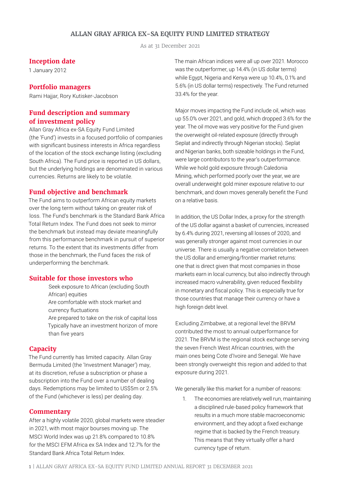# **ALLAN GRAY AFRICA EX-SA EQUITY FUND LIMITED STRATEGY**

As at 31 December 2021

#### **Inception date**

1 January 2012

# **Portfolio managers**

Rami Hajjar, Rory Kutisker-Jacobson

# **Fund description and summary of investment policy**

Allan Gray Africa ex-SA Equity Fund Limited (the 'Fund') invests in a focused portfolio of companies with significant business interests in Africa regardless of the location of the stock exchange listing (excluding South Africa). The Fund price is reported in US dollars, but the underlying holdings are denominated in various currencies. Returns are likely to be volatile.

#### **Fund objective and benchmark**

The Fund aims to outperform African equity markets over the long term without taking on greater risk of loss. The Fund's benchmark is the Standard Bank Africa Total Return Index. The Fund does not seek to mirror the benchmark but instead may deviate meaningfully from this performance benchmark in pursuit of superior returns. To the extent that its investments differ from those in the benchmark, the Fund faces the risk of underperforming the benchmark.

#### **Suitable for those investors who**

than five years

Seek exposure to African (excluding South African) equities Are comfortable with stock market and currency fluctuations Are prepared to take on the risk of capital loss Typically have an investment horizon of more

#### **Capacity**

The Fund currently has limited capacity. Allan Gray Bermuda Limited (the 'Investment Manager') may, at its discretion, refuse a subscription or phase a subscription into the Fund over a number of dealing days. Redemptions may be limited to US\$5m or 2.5% of the Fund (whichever is less) per dealing day.

#### **Commentary**

After a highly volatile 2020, global markets were steadier in 2021, with most major bourses moving up. The MSCI World Index was up 21.8% compared to 10.8% for the MSCI EFM Africa ex SA Index and 12.7% for the Standard Bank Africa Total Return Index.

The main African indices were all up over 2021. Morocco was the outperformer, up 14.4% (in US dollar terms) while Egypt, Nigeria and Kenya were up 10.4%, 0.1% and 5.6% (in US dollar terms) respectively. The Fund returned 33.4% for the year.

Major moves impacting the Fund include oil, which was up 55.0% over 2021, and gold, which dropped 3.6% for the year. The oil move was very positive for the Fund given the overweight oil-related exposure (directly through Seplat and indirectly through Nigerian stocks). Seplat and Nigerian banks, both sizeable holdings in the Fund, were large contributors to the year's outperformance. While we hold gold exposure through Caledonia Mining, which performed poorly over the year, we are overall underweight gold miner exposure relative to our benchmark, and down moves generally benefit the Fund on a relative basis.

In addition, the US Dollar Index, a proxy for the strength of the US dollar against a basket of currencies, increased by 6.4% during 2021, reversing all losses of 2020, and was generally stronger against most currencies in our universe. There is usually a negative correlation between the US dollar and emerging/frontier market returns: one that is direct given that most companies in those markets earn in local currency, but also indirectly through increased macro vulnerability, given reduced flexibility in monetary and fiscal policy. This is especially true for those countries that manage their currency or have a high foreign debt level.

Excluding Zimbabwe, at a regional level the BRVM contributed the most to annual outperformance for 2021. The BRVM is the regional stock exchange serving the seven French West African countries, with the main ones being Cote d'Ivoire and Senegal. We have been strongly overweight this region and added to that exposure during 2021.

We generally like this market for a number of reasons:

1. The economies are relatively well run, maintaining a disciplined rule-based policy framework that results in a much more stable macroeconomic environment, and they adopt a fixed exchange regime that is backed by the French treasury. This means that they virtually offer a hard currency type of return.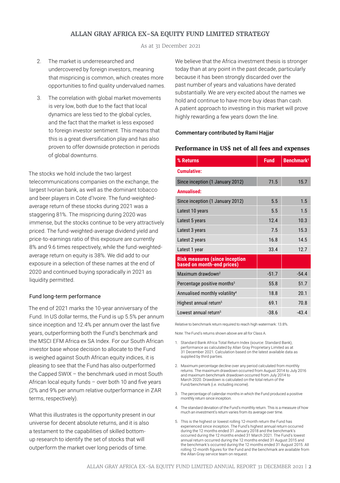# **ALLAN GRAY AFRICA EX-SA EQUITY FUND LIMITED STRATEGY**

As at 31 December 2021

- 2. The market is underresearched and undercovered by foreign investors, meaning that mispricing is common, which creates more opportunities to find quality undervalued names.
- 3. The correlation with global market movements is very low, both due to the fact that local dynamics are less tied to the global cycles, and the fact that the market is less exposed to foreign investor sentiment. This means that this is a great diversification play and has also proven to offer downside protection in periods of global downturns.

The stocks we hold include the two largest telecommunications companies on the exchange, the largest Ivorian bank, as well as the dominant tobacco and beer players in Cote d'Ivoire. The fund-weightedaverage return of these stocks during 2021 was a staggering 81%. The mispricing during 2020 was immense, but the stocks continue to be very attractively priced. The fund-weighted-average dividend yield and price-to-earnings ratio of this exposure are currently 8% and 9.6 times respectively, while the fund-weightedaverage return on equity is 38%. We did add to our exposure in a selection of these names at the end of 2020 and continued buying sporadically in 2021 as liquidity permitted.

#### Fund long-term performance

The end of 2021 marks the 10-year anniversary of the Fund. In US dollar terms, the Fund is up 5.5% per annum since inception and 12.4% per annum over the last five years, outperforming both the Fund's benchmark and the MSCI EFM Africa ex SA Index. For our South African investor base whose decision to allocate to the Fund is weighed against South African equity indices, it is pleasing to see that the Fund has also outperformed the Capped SWIX – the benchmark used in most South African local equity funds – over both 10 and five years (2% and 9% per annum relative outperformance in ZAR terms, respectively).

What this illustrates is the opportunity present in our universe for decent absolute returns, and it is also a testament to the capabilities of skilled bottomup research to identify the set of stocks that will outperform the market over long periods of time.

We believe that the Africa investment thesis is stronger today than at any point in the past decade, particularly because it has been strongly discarded over the past number of years and valuations have derated substantially. We are very excited about the names we hold and continue to have more buy ideas than cash. A patient approach to investing in this market will prove highly rewarding a few years down the line.

#### Commentary contributed by Rami Hajjar

#### **Performance in US\$ net of all fees and expenses**

| % Returns                                                           | <b>Fund</b> | Benchmark <sup>1</sup> |
|---------------------------------------------------------------------|-------------|------------------------|
| <b>Cumulative:</b>                                                  |             |                        |
| Since inception (1 January 2012)                                    | 71.5        | 15.7                   |
| <b>Annualised:</b>                                                  |             |                        |
| Since inception (1 January 2012)                                    | 5.5         | 1.5                    |
| Latest 10 years                                                     | 5.5         | 1.5                    |
| Latest 5 years                                                      | 12.4        | 10.3                   |
| Latest 3 years                                                      | 7.5         | 15.3                   |
| Latest 2 years                                                      | 16.8        | 14.5                   |
| Latest 1 year                                                       | 33.4        | 12.7                   |
| <b>Risk measures (since inception</b><br>based on month-end prices) |             |                        |
| Maximum drawdown <sup>2</sup>                                       | $-51.7$     | $-54.4$                |
| Percentage positive months <sup>3</sup>                             | 55.8        | 51.7                   |
| Annualised monthly volatility <sup>4</sup>                          | 18.8        | 20.1                   |
| Highest annual return <sup>5</sup>                                  | 69.1        | 70.8                   |
| Lowest annual return <sup>5</sup>                                   | $-38.6$     | $-43.4$                |

Relative to benchmark return required to reach high watermark: 13.8%.

Note: The Fund's returns shown above are all for Class A.

- 1. Standard Bank Africa Total Return Index (source: Standard Bank), performance as calculated by Allan Gray Proprietary Limited as at 31 December 2021. Calculation based on the latest available data as supplied by third parties.
- 2. Maximum percentage decline over any period calculated from monthly returns. The maximum drawdown occurred from August 2014 to July 2016 and maximum benchmark drawdown occurred from July 2014 to March 2020. Drawdown is calculated on the total return of the Fund/benchmark (i.e. including income).
- 3. The percentage of calendar months in which the Fund produced a positive monthly return since inception.
- 4. The standard deviation of the Fund's monthly return. This is a measure of how much an investment's return varies from its average over time.
- 5. This is the highest or lowest rolling 12-month return the Fund has experienced since inception. The Fund's highest annual return occurred during the 12 months ended 31 January 2018 and the benchmark's occurred during the 12 months ended 31 March 2021. The Fund's lowest annual return occurred during the 12 months ended 31 August 2015 and the benchmark's occurred during the 12 months ended 31 August 2015. All rolling 12-month figures for the Fund and the benchmark are available from the Allan Gray service team on request.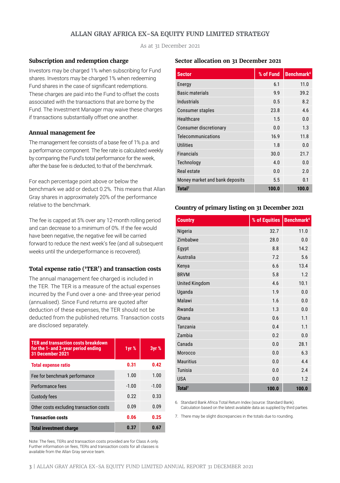# **ALLAN GRAY AFRICA EX-SA EQUITY FUND LIMITED STRATEGY**

As at 31 December 2021

#### **Subscription and redemption charge**

Investors may be charged 1% when subscribing for Fund shares. Investors may be charged 1% when redeeming Fund shares in the case of significant redemptions. These charges are paid into the Fund to offset the costs associated with the transactions that are borne by the Fund. The Investment Manager may waive these charges if transactions substantially offset one another.

#### **Annual management fee**

The management fee consists of a base fee of 1% p.a. and a performance component. The fee rate is calculated weekly by comparing the Fund's total performance for the week, after the base fee is deducted, to that of the benchmark.

For each percentage point above or below the benchmark we add or deduct 0.2%. This means that Allan Gray shares in approximately 20% of the performance relative to the benchmark.

The fee is capped at 5% over any 12-month rolling period and can decrease to a minimum of 0%. If the fee would have been negative, the negative fee will be carried forward to reduce the next week's fee (and all subsequent weeks until the underperformance is recovered).

#### **Total expense ratio ('TER') and transaction costs**

The annual management fee charged is included in the TER. The TER is a measure of the actual expenses incurred by the Fund over a one- and three-year period (annualised). Since Fund returns are quoted after deduction of these expenses, the TER should not be deducted from the published returns. Transaction costs are disclosed separately.

| <b>TER and transaction costs breakdown</b><br>for the 1- and 3-year period ending<br>31 December 2021 | 1yr %   | 3yr %   |
|-------------------------------------------------------------------------------------------------------|---------|---------|
| <b>Total expense ratio</b>                                                                            | 0.31    | 0.42    |
| Fee for benchmark performance                                                                         | 1.00    | 1.00    |
| Performance fees                                                                                      | $-1.00$ | $-1.00$ |
| Custody fees                                                                                          | 0.22    | 0.33    |
| Other costs excluding transaction costs                                                               | 0.09    | 0.09    |
| <b>Transaction costs</b>                                                                              | 0.06    | 0.25    |
| <b>Total investment charge</b>                                                                        | 0.37    | 0.67    |

Note: The fees, TERs and transaction costs provided are for Class A only. Further information on fees, TERs and transaction costs for all classes is available from the Allan Gray service team.

#### **Sector allocation on 31 December 2021**

| <b>Sector</b>                  | % of Fund | <b>Benchmark<sup>6</sup></b> |
|--------------------------------|-----------|------------------------------|
| Energy                         | 6.1       | 11.0                         |
| <b>Basic materials</b>         | 9.9       | 39.2                         |
| <b>Industrials</b>             | 0.5       | 8.2                          |
| Consumer staples               | 23.8      | 4.6                          |
| Healthcare                     | 1.5       | 0.0                          |
| <b>Consumer discretionary</b>  | 0.0       | 1.3                          |
| Telecommunications             | 16.9      | 11.8                         |
| <b>Utilities</b>               | 1.8       | 0.0                          |
| <b>Financials</b>              | 30.0      | 21.7                         |
| Technology                     | 4.0       | 0.0                          |
| Real estate                    | 0.0       | 2.0                          |
| Money market and bank deposits | 5.5       | 0.1                          |
| Total <sup>7</sup>             | 100.0     | 100.0                        |

#### **Country of primary listing on 31 December 2021**

| <b>Country</b>        | % of Equities | <b>Benchmark</b> <sup>6</sup> |
|-----------------------|---------------|-------------------------------|
| Nigeria               | 32.7          | 11.0                          |
| Zimbabwe              | 28.0          | 0.0                           |
| Egypt                 | 8.8           | 14.2                          |
| Australia             | 7.2           | 5.6                           |
| Kenya                 | 6.6           | 13.4                          |
| <b>BRVM</b>           | 5.8           | 1.2                           |
| <b>United Kingdom</b> | 4.6           | 10.1                          |
| Uganda                | 1.9           | 0.0                           |
| Malawi                | 1.6           | 0.0                           |
| Rwanda                | 1.3           | 0.0                           |
| Ghana                 | 0.6           | 1.1                           |
| Tanzania              | 0.4           | 1.1                           |
| Zambia                | 0.2           | 0.0                           |
| Canada                | 0.0           | 28.1                          |
| Morocco               | 0.0           | 6.3                           |
| <b>Mauritius</b>      | 0.0           | 4.4                           |
| <b>Tunisia</b>        | 0.0           | 2.4                           |
| <b>USA</b>            | 0.0           | 1.2                           |
| Total <sup>7</sup>    | 100.0         | 100.0                         |

6. Standard Bank Africa Total Return Index (source: Standard Bank). Calculation based on the latest available data as supplied by third parties.

7. There may be slight discrepancies in the totals due to rounding.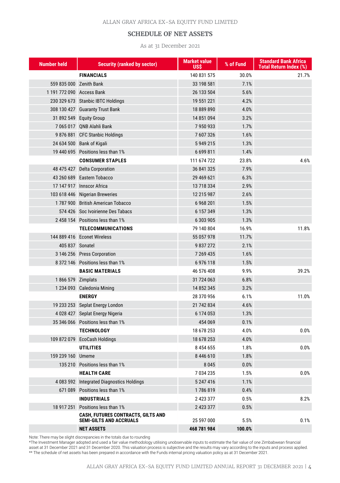# **SCHEDULE OF NET ASSETS**

As at 31 December 2021

| <b>Number held</b>        | <b>Security (ranked by sector)</b>                                   | <b>Market value</b><br>USS | % of Fund | <b>Standard Bank Africa</b><br><b>Total Return Index (%)</b> |
|---------------------------|----------------------------------------------------------------------|----------------------------|-----------|--------------------------------------------------------------|
|                           | <b>FINANCIALS</b>                                                    | 140 831 575                | 30.0%     | 21.7%                                                        |
|                           | 559 835 000 Zenith Bank                                              | 33 198 581                 | 7.1%      |                                                              |
| 1 191 772 090 Access Bank |                                                                      | 26 133 504                 | 5.6%      |                                                              |
|                           | 230 329 673 Stanbic IBTC Holdings                                    | 19 551 221                 | 4.2%      |                                                              |
|                           | 308 130 427 Guaranty Trust Bank                                      | 18 889 890                 | 4.0%      |                                                              |
|                           | 31 892 549 Equity Group                                              | 14 851 094                 | 3.2%      |                                                              |
|                           | 7 065 017 QNB Alahli Bank                                            | 7950933                    | 1.7%      |                                                              |
|                           | 9876881 CFC Stanbic Holdings                                         | 7 607 326                  | 1.6%      |                                                              |
|                           | 24 634 500 Bank of Kigali                                            | 5 949 215                  | 1.3%      |                                                              |
|                           | 19 440 695 Positions less than 1%                                    | 6 699 811                  | 1.4%      |                                                              |
|                           | <b>CONSUMER STAPLES</b>                                              | 111 674 722                | 23.8%     | 4.6%                                                         |
|                           | 48 475 427 Delta Corporation                                         | 36 841 325                 | 7.9%      |                                                              |
|                           | 43 260 689 Eastern Tobacco                                           | 29 469 621                 | 6.3%      |                                                              |
|                           | 17 147 917 Innscor Africa                                            | 13 718 334                 | 2.9%      |                                                              |
|                           | 103 618 446 Nigerian Breweries                                       | 12 215 987                 | 2.6%      |                                                              |
|                           | 1787 900 British American Tobacco                                    | 6 9 68 201                 | 1.5%      |                                                              |
|                           | 574 426 Soc Ivoirienne Des Tabacs                                    | 6 157 349                  | 1.3%      |                                                              |
|                           | 2458154 Positions less than 1%                                       | 6 303 905                  | 1.3%      |                                                              |
|                           | <b>TELECOMMUNICATIONS</b>                                            | 79 140 804                 | 16.9%     | 11.8%                                                        |
|                           | 144 889 416 Econet Wireless                                          | 55 057 978                 | 11.7%     |                                                              |
| 405 837 Sonatel           |                                                                      | 9 837 272                  | 2.1%      |                                                              |
|                           | 3 146 256 Press Corporation                                          | 7 269 435                  | 1.6%      |                                                              |
|                           | 8 372 146 Positions less than 1%                                     | 6976118                    | 1.5%      |                                                              |
|                           | <b>BASIC MATERIALS</b>                                               | 46 576 408                 | 9.9%      | 39.2%                                                        |
| 1866 579 Zimplats         |                                                                      | 31 724 063                 | 6.8%      |                                                              |
|                           | 1 234 093 Caledonia Mining                                           | 14 852 345                 | 3.2%      |                                                              |
|                           | <b>ENERGY</b>                                                        | 28 370 956                 | 6.1%      | 11.0%                                                        |
|                           | 19 233 253 Seplat Energy London                                      | 21 742 834                 | 4.6%      |                                                              |
|                           | 4 028 427 Seplat Energy Nigeria                                      | 6 174 053                  | 1.3%      |                                                              |
|                           | 35 346 066 Positions less than 1%                                    | 454 069                    | 0.1%      |                                                              |
|                           | <b>TECHNOLOGY</b>                                                    | 18 678 253                 | 4.0%      | 0.0%                                                         |
|                           | 109 872 079 EcoCash Holdings                                         | 18 678 253                 | 4.0%      |                                                              |
|                           | <b>UTILITIES</b>                                                     | 8 4 5 4 6 5 5              | 1.8%      | 0.0%                                                         |
| 159 239 160 Umeme         |                                                                      | 8 446 610                  | 1.8%      |                                                              |
|                           | 135 210 Positions less than 1%                                       | 8 0 4 5                    | 0.0%      |                                                              |
|                           | <b>HEALTH CARE</b>                                                   | 7034235                    | 1.5%      | 0.0%                                                         |
|                           | 4 083 592 Integrated Diagnostics Holdings                            | 5 247 416                  | 1.1%      |                                                              |
|                           | 671 089 Positions less than 1%                                       | 1786819                    | 0.4%      |                                                              |
|                           | <b>INDUSTRIALS</b>                                                   | 2 423 377                  | 0.5%      | 8.2%                                                         |
|                           | 18 917 251 Positions less than 1%                                    | 2 423 377                  | 0.5%      |                                                              |
|                           | CASH, FUTURES CONTRACTS, GILTS AND<br><b>SEMI-GILTS AND ACCRUALS</b> | 25 597 000                 | 5.5%      | 0.1%                                                         |
|                           | <b>NET ASSETS</b>                                                    | 468 781 984                | 100.0%    |                                                              |

Note: There may be slight discrepancies in the totals due to rounding

\*The Investment Manager adopted and used a fair value methodology utilising unobservable inputs to estimate the fair value of one Zimbabwean financial asset at 31 December 2021 and 31 December 2020. This valuation process is subjective and the results may vary according to the inputs and process applied. \*\* The schedule of net assets has been prepared in accordance with the Funds internal pricing valuation policy as at 31 December 2021.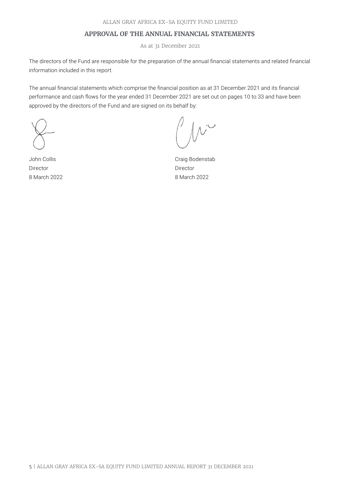# **APPROVAL OF THE ANNUAL FINANCIAL STATEMENTS**

As at 31 December 2021

The directors of the Fund are responsible for the preparation of the annual financial statements and related financial information included in this report.

The annual financial statements which comprise the financial position as at 31 December 2021 and its financial performance and cash flows for the year ended 31 December 2021 are set out on pages 10 to 33 and have been approved by the directors of the Fund and are signed on its behalf by:

John Collis Director 8 March 2022

Craig Bodenstab Director 8 March 2022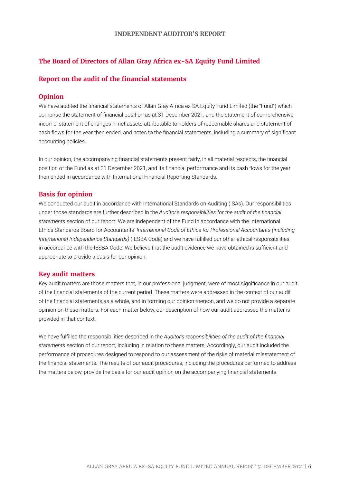# **The Board of Directors of Allan Gray Africa ex-SA Equity Fund Limited**

# **Report on the audit of the financial statements**

# **Opinion**

We have audited the financial statements of Allan Gray Africa ex-SA Equity Fund Limited (the "Fund") which comprise the statement of financial position as at 31 December 2021, and the statement of comprehensive income, statement of changes in net assets attributable to holders of redeemable shares and statement of cash flows for the year then ended, and notes to the financial statements, including a summary of significant accounting policies.

In our opinion, the accompanying financial statements present fairly, in all material respects, the financial position of the Fund as at 31 December 2021, and its financial performance and its cash flows for the year then ended in accordance with International Financial Reporting Standards.

# **Basis for opinion**

We conducted our audit in accordance with International Standards on Auditing (ISAs). Our responsibilities under those standards are further described in the *Auditor's responsibilities for the audit of the financial statements* section of our report. We are independent of the Fund in accordance with the International Ethics Standards Board for Accountants' *International Code of Ethics for Professional Accountants (including International Independence Standards)* (IESBA Code) and we have fulfilled our other ethical responsibilities in accordance with the IESBA Code. We believe that the audit evidence we have obtained is sufficient and appropriate to provide a basis for our opinion.

#### **Key audit matters**

Key audit matters are those matters that, in our professional judgment, were of most significance in our audit of the financial statements of the current period. These matters were addressed in the context of our audit of the financial statements as a whole, and in forming our opinion thereon, and we do not provide a separate opinion on these matters. For each matter below, our description of how our audit addressed the matter is provided in that context.

We have fulfilled the responsibilities described in the *Auditor's responsibilities of the audit of the financial statements* section of our report, including in relation to these matters. Accordingly, our audit included the performance of procedures designed to respond to our assessment of the risks of material misstatement of the financial statements. The results of our audit procedures, including the procedures performed to address the matters below, provide the basis for our audit opinion on the accompanying financial statements.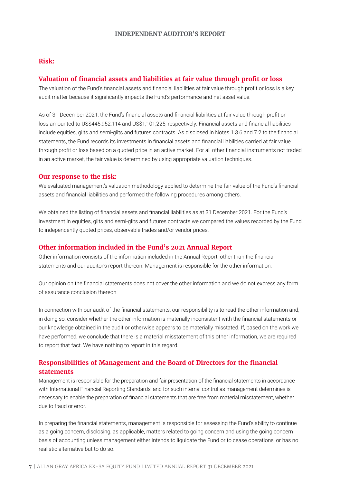# **Risk:**

# **Valuation of financial assets and liabilities at fair value through profit or loss**

The valuation of the Fund's financial assets and financial liabilities at fair value through profit or loss is a key audit matter because it significantly impacts the Fund's performance and net asset value.

As of 31 December 2021, the Fund's financial assets and financial liabilities at fair value through profit or loss amounted to US\$445,952,114 and US\$1,101,225, respectively. Financial assets and financial liabilities include equities, gilts and semi-gilts and futures contracts. As disclosed in Notes 1.3.6 and 7.2 to the financial statements, the Fund records its investments in financial assets and financial liabilities carried at fair value through profit or loss based on a quoted price in an active market. For all other financial instruments not traded in an active market, the fair value is determined by using appropriate valuation techniques.

#### **Our response to the risk:**

We evaluated management's valuation methodology applied to determine the fair value of the Fund's financial assets and financial liabilities and performed the following procedures among others.

We obtained the listing of financial assets and financial liabilities as at 31 December 2021. For the Fund's investment in equities, gilts and semi-gilts and futures contracts we compared the values recorded by the Fund to independently quoted prices, observable trades and/or vendor prices.

# **Other information included in the Fund's 2021 Annual Report**

Other information consists of the information included in the Annual Report, other than the financial statements and our auditor's report thereon. Management is responsible for the other information.

Our opinion on the financial statements does not cover the other information and we do not express any form of assurance conclusion thereon.

In connection with our audit of the financial statements, our responsibility is to read the other information and, in doing so, consider whether the other information is materially inconsistent with the financial statements or our knowledge obtained in the audit or otherwise appears to be materially misstated. If, based on the work we have performed, we conclude that there is a material misstatement of this other information, we are required to report that fact. We have nothing to report in this regard.

# **Responsibilities of Management and the Board of Directors for the financial statements**

Management is responsible for the preparation and fair presentation of the financial statements in accordance with International Financial Reporting Standards, and for such internal control as management determines is necessary to enable the preparation of financial statements that are free from material misstatement, whether due to fraud or error.

In preparing the financial statements, management is responsible for assessing the Fund's ability to continue as a going concern, disclosing, as applicable, matters related to going concern and using the going concern basis of accounting unless management either intends to liquidate the Fund or to cease operations, or has no realistic alternative but to do so.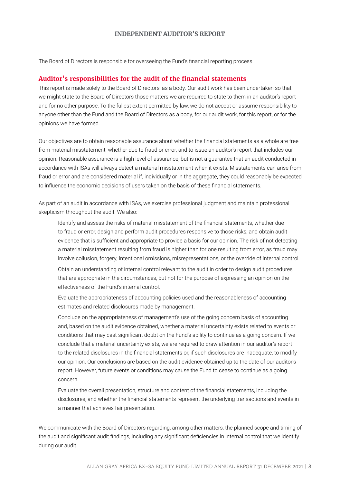The Board of Directors is responsible for overseeing the Fund's financial reporting process.

#### **Auditor's responsibilities for the audit of the financial statements**

This report is made solely to the Board of Directors, as a body. Our audit work has been undertaken so that we might state to the Board of Directors those matters we are required to state to them in an auditor's report and for no other purpose. To the fullest extent permitted by law, we do not accept or assume responsibility to anyone other than the Fund and the Board of Directors as a body, for our audit work, for this report, or for the opinions we have formed.

Our objectives are to obtain reasonable assurance about whether the financial statements as a whole are free from material misstatement, whether due to fraud or error, and to issue an auditor's report that includes our opinion. Reasonable assurance is a high level of assurance, but is not a guarantee that an audit conducted in accordance with ISAs will always detect a material misstatement when it exists. Misstatements can arise from fraud or error and are considered material if, individually or in the aggregate, they could reasonably be expected to influence the economic decisions of users taken on the basis of these financial statements.

As part of an audit in accordance with ISAs, we exercise professional judgment and maintain professional skepticism throughout the audit. We also:

Identify and assess the risks of material misstatement of the financial statements, whether due to fraud or error, design and perform audit procedures responsive to those risks, and obtain audit evidence that is sufficient and appropriate to provide a basis for our opinion. The risk of not detecting a material misstatement resulting from fraud is higher than for one resulting from error, as fraud may involve collusion, forgery, intentional omissions, misrepresentations, or the override of internal control.

Obtain an understanding of internal control relevant to the audit in order to design audit procedures that are appropriate in the circumstances, but not for the purpose of expressing an opinion on the effectiveness of the Fund's internal control.

Evaluate the appropriateness of accounting policies used and the reasonableness of accounting estimates and related disclosures made by management.

Conclude on the appropriateness of management's use of the going concern basis of accounting and, based on the audit evidence obtained, whether a material uncertainty exists related to events or conditions that may cast significant doubt on the Fund's ability to continue as a going concern. If we conclude that a material uncertainty exists, we are required to draw attention in our auditor's report to the related disclosures in the financial statements or, if such disclosures are inadequate, to modify our opinion. Our conclusions are based on the audit evidence obtained up to the date of our auditor's report. However, future events or conditions may cause the Fund to cease to continue as a going concern.

Evaluate the overall presentation, structure and content of the financial statements, including the disclosures, and whether the financial statements represent the underlying transactions and events in a manner that achieves fair presentation.

We communicate with the Board of Directors regarding, among other matters, the planned scope and timing of the audit and significant audit findings, including any significant deficiencies in internal control that we identify during our audit.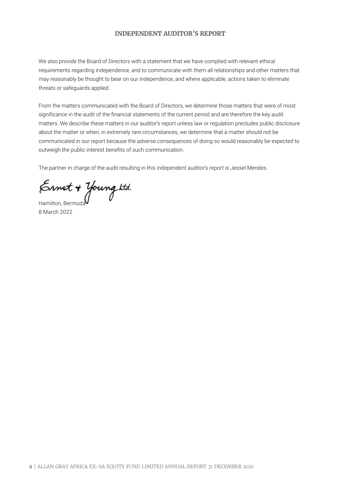We also provide the Board of Directors with a statement that we have complied with relevant ethical requirements regarding independence, and to communicate with them all relationships and other matters that may reasonably be thought to bear on our independence, and where applicable, actions taken to eliminate threats or safeguards applied.

From the matters communicated with the Board of Directors, we determine those matters that were of most significance in the audit of the financial statements of the current period and are therefore the key audit matters. We describe these matters in our auditor's report unless law or regulation precludes public disclosure about the matter or when, in extremely rare circumstances, we determine that a matter should not be communicated in our report because the adverse consequences of doing so would reasonably be expected to outweigh the public interest benefits of such communication.

The partner in charge of the audit resulting in this independent auditor's report is Jessel Mendes.

Ernet + Young ktd.<br>Hamilton, Bermuda

8 March 2022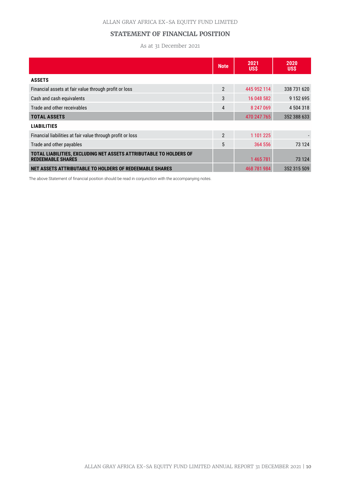# **STATEMENT OF FINANCIAL POSITION**

As at 31 December 2021

|                                                                                                | <b>Note</b>    | 2021<br>US\$ | 2020<br>US\$  |
|------------------------------------------------------------------------------------------------|----------------|--------------|---------------|
| <b>ASSETS</b>                                                                                  |                |              |               |
| Financial assets at fair value through profit or loss                                          | $\overline{2}$ | 445 952 114  | 338 731 620   |
| Cash and cash equivalents                                                                      | 3              | 16 048 582   | 9 1 5 2 6 9 5 |
| Trade and other receivables                                                                    | $\overline{4}$ | 8 247 069    | 4 504 318     |
| <b>TOTAL ASSETS</b>                                                                            |                | 470 247 765  | 352 388 633   |
| <b>LIABILITIES</b>                                                                             |                |              |               |
| Financial liabilities at fair value through profit or loss                                     | $\mathfrak{p}$ | 1 101 225    |               |
| Trade and other payables                                                                       | 5              | 364 556      | 73 124        |
| TOTAL LIABILITIES, EXCLUDING NET ASSETS ATTRIBUTABLE TO HOLDERS OF<br><b>REDEEMABLE SHARES</b> |                | 1 465 781    | 73 124        |
| NET ASSETS ATTRIBUTABLE TO HOLDERS OF REDEEMABLE SHARES                                        |                | 468 781 984  | 352 315 509   |

The above Statement of financial position should be read in conjunction with the accompanying notes.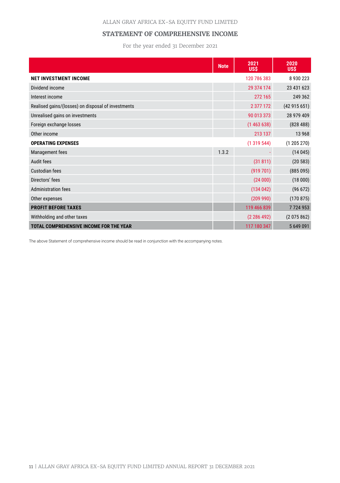# ALLAN GRAY AFRICA EX-SA EQUITY FUND LIMITED

# **STATEMENT OF COMPREHENSIVE INCOME**

For the year ended 31 December 2021

|                                                    | <b>Note</b> | 2021<br><b>US\$</b> | 2020<br><b>USS</b> |
|----------------------------------------------------|-------------|---------------------|--------------------|
| <b>NET INVESTMENT INCOME</b>                       |             | 120 786 383         | 8930223            |
| Dividend income                                    |             | 29 374 174          | 23 431 623         |
| Interest income                                    |             | 272 165             | 249 362            |
| Realised gains/(losses) on disposal of investments |             | 2 377 172           | (42915651)         |
| Unrealised gains on investments                    |             | 90 013 373          | 28 979 409         |
| Foreign exchange losses                            |             | (1463638)           | (828488)           |
| Other income                                       |             | 213 137             | 13 9 68            |
| <b>OPERATING EXPENSES</b>                          |             | (1319544)           | (1205270)          |
| Management fees                                    | 1.3.2       |                     | (14045)            |
| Audit fees                                         |             | (31811)             | (20583)            |
| Custodian fees                                     |             | (919701)            | (885095)           |
| Directors' fees                                    |             | (24000)             | (18000)            |
| <b>Administration fees</b>                         |             | (134042)            | (96 672)           |
| Other expenses                                     |             | (209990)            | (170875)           |
| <b>PROFIT BEFORE TAXES</b>                         |             | 119 466 839         | 7724953            |
| Withholding and other taxes                        |             | (2 286 492)         | (2075862)          |
| TOTAL COMPREHENSIVE INCOME FOR THE YEAR            |             | 117 180 347         | 5649091            |

The above Statement of comprehensive income should be read in conjunction with the accompanying notes.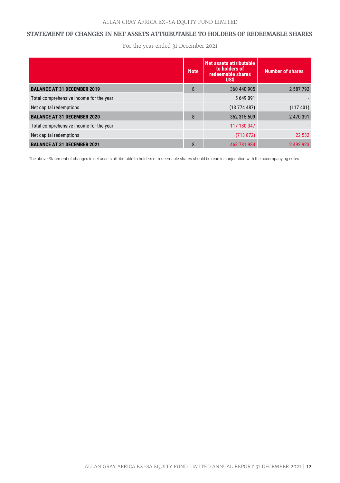# **STATEMENT OF CHANGES IN NET ASSETS ATTRIBUTABLE TO HOLDERS OF REDEEMABLE SHARES**

For the year ended 31 December 2021

|                                         | <b>Note</b> | Net assets attributable<br>to holders of<br>redeemable shares<br><b>USS</b> | <b>Number of shares</b> |
|-----------------------------------------|-------------|-----------------------------------------------------------------------------|-------------------------|
| <b>BALANCE AT 31 DECEMBER 2019</b>      | 8           | 360 440 905                                                                 | 2 587 792               |
| Total comprehensive income for the year |             | 5649091                                                                     |                         |
| Net capital redemptions                 |             | (13774487)                                                                  | (117401)                |
| <b>BALANCE AT 31 DECEMBER 2020</b>      | 8           | 352 315 509                                                                 | 2 470 391               |
| Total comprehensive income for the year |             | 117 180 347                                                                 |                         |
| Net capital redemptions                 |             | (713 872)                                                                   | 22 5 32                 |
| <b>BALANCE AT 31 DECEMBER 2021</b>      | 8           | 468 781 984                                                                 | 2 492 923               |

The above Statement of changes in net assets attributable to holders of redeemable shares should be read in conjunction with the accompanying notes.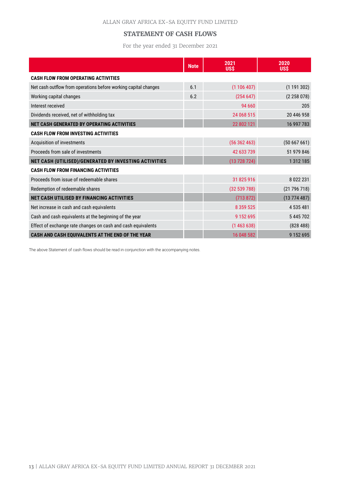# **STATEMENT OF CASH FLOWS**

For the year ended 31 December 2021

|                                                                 | <b>Note</b> | 2021<br><b>US\$</b> | 2020<br><b>USS</b> |
|-----------------------------------------------------------------|-------------|---------------------|--------------------|
| <b>CASH FLOW FROM OPERATING ACTIVITIES</b>                      |             |                     |                    |
| Net cash outflow from operations before working capital changes | 6.1         | (1106407)           | (1191302)          |
| Working capital changes                                         | 6.2         | (254647)            | (2258078)          |
| Interest received                                               |             | 94 660              | 205                |
| Dividends received, net of withholding tax                      |             | 24 068 515          | 20 446 958         |
| NET CASH GENERATED BY OPERATING ACTIVITIES                      |             | 22 802 121          | 16 997 783         |
| <b>CASH FLOW FROM INVESTING ACTIVITIES</b>                      |             |                     |                    |
| Acquisition of investments                                      |             | (56362463)          | (50667661)         |
| Proceeds from sale of investments                               |             | 42 633 739          | 51 979 846         |
| NET CASH (UTILISED)/GENERATED BY INVESTING ACTIVITIES           |             | (13728724)          | 1 3 1 2 1 8 5      |
| <b>CASH FLOW FROM FINANCING ACTIVITIES</b>                      |             |                     |                    |
| Proceeds from issue of redeemable shares                        |             | 31 825 916          | 8 0 2 2 2 3 1      |
| Redemption of redeemable shares                                 |             | (32539788)          | (21796718)         |
| <b>NET CASH UTILISED BY FINANCING ACTIVITIES</b>                |             | (713 872)           | (13774487)         |
| Net increase in cash and cash equivalents                       |             | 8 3 5 9 5 2 5       | 4 535 481          |
| Cash and cash equivalents at the beginning of the year          |             | 9 1 5 2 6 9 5       | 5445702            |
| Effect of exchange rate changes on cash and cash equivalents    |             | (1463638)           | (828488)           |
| CASH AND CASH EQUIVALENTS AT THE END OF THE YEAR                |             | 16 048 582          | 9 1 5 2 6 9 5      |

The above Statement of cash flows should be read in conjunction with the accompanying notes.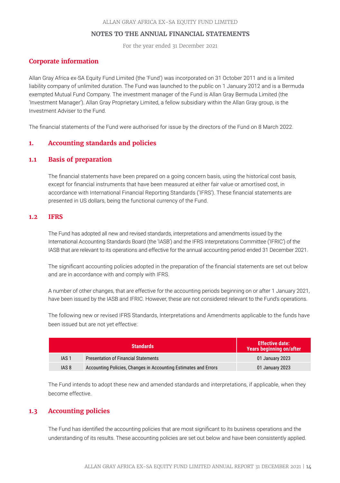For the year ended 31 December 2021

# **Corporate information**

Allan Gray Africa ex-SA Equity Fund Limited (the 'Fund') was incorporated on 31 October 2011 and is a limited liability company of unlimited duration. The Fund was launched to the public on 1 January 2012 and is a Bermuda exempted Mutual Fund Company. The investment manager of the Fund is Allan Gray Bermuda Limited (the 'Investment Manager'). Allan Gray Proprietary Limited, a fellow subsidiary within the Allan Gray group, is the Investment Adviser to the Fund.

The financial statements of the Fund were authorised for issue by the directors of the Fund on 8 March 2022.

# **1. Accounting standards and policies**

# **1.1 Basis of preparation**

The financial statements have been prepared on a going concern basis, using the historical cost basis, except for financial instruments that have been measured at either fair value or amortised cost, in accordance with International Financial Reporting Standards ('IFRS'). These financial statements are presented in US dollars, being the functional currency of the Fund.

# **1.2 IFRS**

The Fund has adopted all new and revised standards, interpretations and amendments issued by the International Accounting Standards Board (the 'IASB') and the IFRS Interpretations Committee ('IFRIC') of the IASB that are relevant to its operations and effective for the annual accounting period ended 31 December 2021.

The significant accounting policies adopted in the preparation of the financial statements are set out below and are in accordance with and comply with IFRS.

A number of other changes, that are effective for the accounting periods beginning on or after 1 January 2021, have been issued by the IASB and IFRIC. However, these are not considered relevant to the Fund's operations.

The following new or revised IFRS Standards, Interpretations and Amendments applicable to the funds have been issued but are not yet effective:

|                  | <b>Standards</b>                                                | <b>Effective date:</b><br><b>Years beginning on/after</b> |
|------------------|-----------------------------------------------------------------|-----------------------------------------------------------|
| IAS <sub>1</sub> | <b>Presentation of Financial Statements</b>                     | 01 January 2023                                           |
| IAS <sub>8</sub> | Accounting Policies, Changes in Accounting Estimates and Errors | 01 January 2023                                           |

The Fund intends to adopt these new and amended standards and interpretations, if applicable, when they become effective.

# **1.3 Accounting policies**

The Fund has identified the accounting policies that are most significant to its business operations and the understanding of its results. These accounting policies are set out below and have been consistently applied.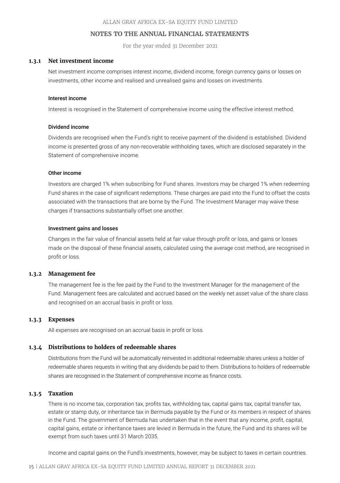For the year ended 31 December 2021

#### **1.3.1 Net investment income**

Net investment income comprises interest income, dividend income, foreign currency gains or losses on investments, other income and realised and unrealised gains and losses on investments.

#### Interest income

Interest is recognised in the Statement of comprehensive income using the effective interest method.

#### Dividend income

Dividends are recognised when the Fund's right to receive payment of the dividend is established. Dividend income is presented gross of any non-recoverable withholding taxes, which are disclosed separately in the Statement of comprehensive income.

#### Other income

Investors are charged 1% when subscribing for Fund shares. Investors may be charged 1% when redeeming Fund shares in the case of significant redemptions. These charges are paid into the Fund to offset the costs associated with the transactions that are borne by the Fund. The Investment Manager may waive these charges if transactions substantially offset one another.

#### Investment gains and losses

Changes in the fair value of financial assets held at fair value through profit or loss, and gains or losses made on the disposal of these financial assets, calculated using the average cost method, are recognised in profit or loss.

#### **1.3.2 Management fee**

The management fee is the fee paid by the Fund to the Investment Manager for the management of the Fund. Management fees are calculated and accrued based on the weekly net asset value of the share class and recognised on an accrual basis in profit or loss.

#### **1.3.3 Expenses**

All expenses are recognised on an accrual basis in profit or loss.

#### **1.3.4 Distributions to holders of redeemable shares**

Distributions from the Fund will be automatically reinvested in additional redeemable shares unless a holder of redeemable shares requests in writing that any dividends be paid to them. Distributions to holders of redeemable shares are recognised in the Statement of comprehensive income as finance costs.

# **1.3.5 Taxation**

There is no income tax, corporation tax, profits tax, withholding tax, capital gains tax, capital transfer tax, estate or stamp duty, or inheritance tax in Bermuda payable by the Fund or its members in respect of shares in the Fund. The government of Bermuda has undertaken that in the event that any income, profit, capital, capital gains, estate or inheritance taxes are levied in Bermuda in the future, the Fund and its shares will be exempt from such taxes until 31 March 2035.

Income and capital gains on the Fund's investments, however, may be subject to taxes in certain countries.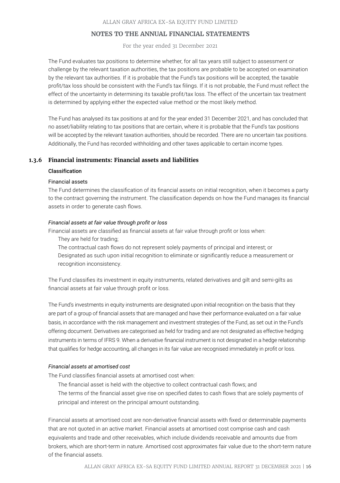For the year ended 31 December 2021

The Fund evaluates tax positions to determine whether, for all tax years still subject to assessment or challenge by the relevant taxation authorities, the tax positions are probable to be accepted on examination by the relevant tax authorities. If it is probable that the Fund's tax positions will be accepted, the taxable profit/tax loss should be consistent with the Fund's tax filings. If it is not probable, the Fund must reflect the effect of the uncertainty in determining its taxable profit/tax loss. The effect of the uncertain tax treatment is determined by applying either the expected value method or the most likely method.

The Fund has analysed its tax positions at and for the year ended 31 December 2021, and has concluded that no asset/liability relating to tax positions that are certain, where it is probable that the Fund's tax positions will be accepted by the relevant taxation authorities, should be recorded. There are no uncertain tax positions. Additionally, the Fund has recorded withholding and other taxes applicable to certain income types.

# **1.3.6 Financial instruments: Financial assets and liabilities**

#### Classification

#### Financial assets

The Fund determines the classification of its financial assets on initial recognition, when it becomes a party to the contract governing the instrument. The classification depends on how the Fund manages its financial assets in order to generate cash flows.

#### *Financial assets at fair value through profit or loss*

Financial assets are classified as financial assets at fair value through profit or loss when:

They are held for trading;

The contractual cash flows do not represent solely payments of principal and interest; or Designated as such upon initial recognition to eliminate or significantly reduce a measurement or recognition inconsistency.

The Fund classifies its investment in equity instruments, related derivatives and gilt and semi-gilts as financial assets at fair value through profit or loss.

The Fund's investments in equity instruments are designated upon initial recognition on the basis that they are part of a group of financial assets that are managed and have their performance evaluated on a fair value basis, in accordance with the risk management and investment strategies of the Fund, as set out in the Fund's offering document. Derivatives are categorised as held for trading and are not designated as effective hedging instruments in terms of IFRS 9. When a derivative financial instrument is not designated in a hedge relationship that qualifies for hedge accounting, all changes in its fair value are recognised immediately in profit or loss.

#### *Financial assets at amortised cost*

The Fund classifies financial assets at amortised cost when:

The financial asset is held with the objective to collect contractual cash flows; and

The terms of the financial asset give rise on specified dates to cash flows that are solely payments of principal and interest on the principal amount outstanding.

Financial assets at amortised cost are non-derivative financial assets with fixed or determinable payments that are not quoted in an active market. Financial assets at amortised cost comprise cash and cash equivalents and trade and other receivables, which include dividends receivable and amounts due from brokers, which are short-term in nature. Amortised cost approximates fair value due to the short-term nature of the financial assets.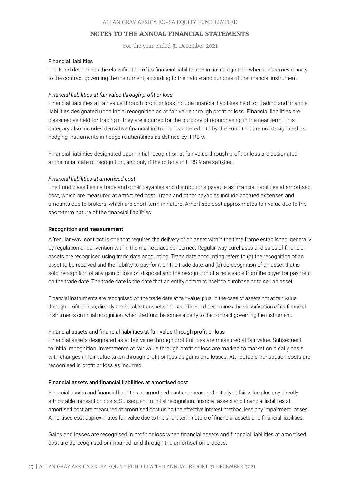For the year ended 31 December 2021

#### Financial liabilities

The Fund determines the classification of its financial liabilities on initial recognition, when it becomes a party to the contract governing the instrument, according to the nature and purpose of the financial instrument.

#### *Financial liabilities at fair value through profit or loss*

Financial liabilities at fair value through profit or loss include financial liabilities held for trading and financial liabilities designated upon initial recognition as at fair value through profit or loss. Financial liabilities are classified as held for trading if they are incurred for the purpose of repurchasing in the near term. This category also includes derivative financial instruments entered into by the Fund that are not designated as hedging instruments in hedge relationships as defined by IFRS 9.

Financial liabilities designated upon initial recognition at fair value through profit or loss are designated at the initial date of recognition, and only if the criteria in IFRS 9 are satisfied.

#### *Financial liabilities at amortised cost*

The Fund classifies its trade and other payables and distributions payable as financial liabilities at amortised cost, which are measured at amortised cost. Trade and other payables include accrued expenses and amounts due to brokers, which are short-term in nature. Amortised cost approximates fair value due to the short-term nature of the financial liabilities.

#### Recognition and measurement

A 'regular way' contract is one that requires the delivery of an asset within the time frame established, generally by regulation or convention within the marketplace concerned. Regular way purchases and sales of financial assets are recognised using trade date accounting. Trade date accounting refers to (a) the recognition of an asset to be received and the liability to pay for it on the trade date, and (b) derecognition of an asset that is sold, recognition of any gain or loss on disposal and the recognition of a receivable from the buyer for payment on the trade date. The trade date is the date that an entity commits itself to purchase or to sell an asset.

Financial instruments are recognised on the trade date at fair value, plus, in the case of assets not at fair value through profit or loss, directly attributable transaction costs. The Fund determines the classification of its financial instruments on initial recognition, when the Fund becomes a party to the contract governing the instrument.

#### Financial assets and financial liabilities at fair value through profit or loss

Financial assets designated as at fair value through profit or loss are measured at fair value. Subsequent to initial recognition, investments at fair value through profit or loss are marked to market on a daily basis with changes in fair value taken through profit or loss as gains and losses. Attributable transaction costs are recognised in profit or loss as incurred.

# Financial assets and financial liabilities at amortised cost

Financial assets and financial liabilities at amortised cost are measured initially at fair value plus any directly attributable transaction costs. Subsequent to initial recognition, financial assets and financial liabilities at amortised cost are measured at amortised cost using the effective interest method, less any impairment losses. Amortised cost approximates fair value due to the short-term nature of financial assets and financial liabilities.

Gains and losses are recognised in profit or loss when financial assets and financial liabilities at amortised cost are derecognised or impaired, and through the amortisation process.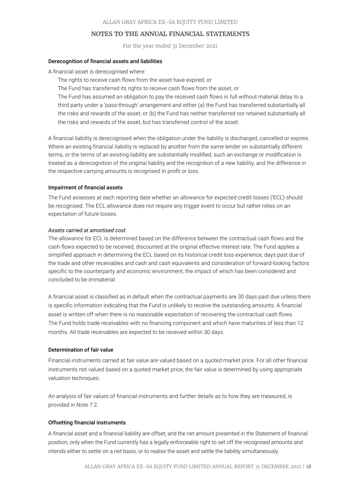For the year ended 31 December 2021

#### Derecognition of financial assets and liabilities

A financial asset is derecognised where:

The rights to receive cash flows from the asset have expired, or

The Fund has transferred its rights to receive cash flows from the asset, or

The Fund has assumed an obligation to pay the received cash flows in full without material delay to a third party under a 'pass-through' arrangement and either (a) the Fund has transferred substantially all the risks and rewards of the asset, or (b) the Fund has neither transferred nor retained substantially all the risks and rewards of the asset, but has transferred control of the asset.

A financial liability is derecognised when the obligation under the liability is discharged, cancelled or expires. Where an existing financial liability is replaced by another from the same lender on substantially different terms, or the terms of an existing liability are substantially modified, such an exchange or modification is treated as a derecognition of the original liability and the recognition of a new liability, and the difference in the respective carrying amounts is recognised in profit or loss.

#### Impairment of financial assets

The Fund assesses at each reporting date whether an allowance for expected credit losses ('ECL') should be recognised. The ECL allowance does not require any trigger event to occur but rather relies on an expectation of future losses.

#### *Assets carried at amortised cost*

The allowance for ECL is determined based on the difference between the contractual cash flows and the cash flows expected to be received, discounted at the original effective interest rate. The Fund applies a simplified approach in determining the ECL based on its historical credit loss experience, days past due of the trade and other receivables and cash and cash equivalents and consideration of forward-looking factors specific to the counterparty and economic environment, the impact of which has been considered and concluded to be immaterial.

A financial asset is classified as in default when the contractual payments are 30 days past due unless there is specific information indicating that the Fund is unlikely to receive the outstanding amounts. A financial asset is written off when there is no reasonable expectation of recovering the contractual cash flows. The Fund holds trade receivables with no financing component and which have maturities of less than 12 months. All trade receivables are expected to be received within 30 days.

#### Determination of fair value

Financial instruments carried at fair value are valued based on a quoted market price. For all other financial instruments not valued based on a quoted market price, the fair value is determined by using appropriate valuation techniques.

An analysis of fair values of financial instruments and further details as to how they are measured, is provided in Note 7.2.

#### Offsetting financial instruments

A financial asset and a financial liability are offset, and the net amount presented in the Statement of financial position, only when the Fund currently has a legally enforceable right to set off the recognised amounts and intends either to settle on a net basis, or to realise the asset and settle the liability simultaneously.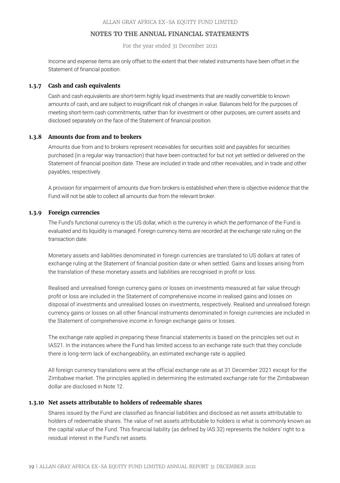For the year ended 31 December 2021

Income and expense items are only offset to the extent that their related instruments have been offset in the Statement of financial position.

#### **1.3.7 Cash and cash equivalents**

Cash and cash equivalents are short-term highly liquid investments that are readily convertible to known amounts of cash, and are subject to insignificant risk of changes in value. Balances held for the purposes of meeting short-term cash commitments, rather than for investment or other purposes, are current assets and disclosed separately on the face of the Statement of financial position.

# **1.3.8 Amounts due from and to brokers**

Amounts due from and to brokers represent receivables for securities sold and payables for securities purchased (in a regular way transaction) that have been contracted for but not yet settled or delivered on the Statement of financial position date. These are included in trade and other receivables, and in trade and other payables, respectively.

A provision for impairment of amounts due from brokers is established when there is objective evidence that the Fund will not be able to collect all amounts due from the relevant broker.

#### **1.3.9 Foreign currencies**

The Fund's functional currency is the US dollar, which is the currency in which the performance of the Fund is evaluated and its liquidity is managed. Foreign currency items are recorded at the exchange rate ruling on the transaction date.

Monetary assets and liabilities denominated in foreign currencies are translated to US dollars at rates of exchange ruling at the Statement of financial position date or when settled. Gains and losses arising from the translation of these monetary assets and liabilities are recognised in profit or loss.

Realised and unrealised foreign currency gains or losses on investments measured at fair value through profit or loss are included in the Statement of comprehensive income in realised gains and losses on disposal of investments and unrealised losses on investments, respectively. Realised and unrealised foreign currency gains or losses on all other financial instruments denominated in foreign currencies are included in the Statement of comprehensive income in foreign exchange gains or losses.

The exchange rate applied in preparing these financial statements is based on the principles set out in IAS21. In the instances where the Fund has limited access to an exchange rate such that they conclude there is long-term lack of exchangeability, an estimated exchange rate is applied.

All foreign currency translations were at the official exchange rate as at 31 December 2021 except for the Zimbabwe market. The principles applied in determining the estimated exchange rate for the Zimbabwean dollar are disclosed in Note 12.

#### **1.3.10 Net assets attributable to holders of redeemable shares**

Shares issued by the Fund are classified as financial liabilities and disclosed as net assets attributable to holders of redeemable shares. The value of net assets attributable to holders is what is commonly known as the capital value of the Fund. This financial liability (as defined by IAS 32) represents the holders' right to a residual interest in the Fund's net assets.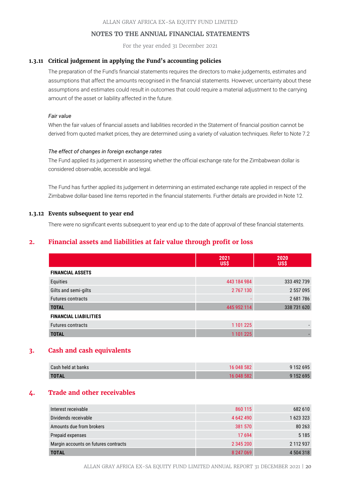For the year ended 31 December 2021

#### **1.3.11 Critical judgement in applying the Fund's accounting policies**

The preparation of the Fund's financial statements requires the directors to make judgements, estimates and assumptions that affect the amounts recognised in the financial statements. However, uncertainty about these assumptions and estimates could result in outcomes that could require a material adjustment to the carrying amount of the asset or liability affected in the future.

#### *Fair value*

When the fair values of financial assets and liabilities recorded in the Statement of financial position cannot be derived from quoted market prices, they are determined using a variety of valuation techniques. Refer to Note 7.2

#### *The effect of changes in foreign exchange rates*

The Fund applied its judgement in assessing whether the official exchange rate for the Zimbabwean dollar is considered observable, accessible and legal.

The Fund has further applied its judgement in determining an estimated exchange rate applied in respect of the Zimbabwe dollar-based line items reported in the financial statements. Further details are provided in Note 12.

# **1.3.12 Events subsequent to year end**

There were no significant events subsequent to year end up to the date of approval of these financial statements.

# **2. Financial assets and liabilities at fair value through profit or loss**

|                              | 2021<br><b>US\$</b> | 2020<br><b>US\$</b> |
|------------------------------|---------------------|---------------------|
| <b>FINANCIAL ASSETS</b>      |                     |                     |
| Equities                     | 443 184 984         | 333 492 739         |
| Gilts and semi-gilts         | 2 767 130           | 2 557 095           |
| <b>Futures contracts</b>     |                     | 2681786             |
| <b>TOTAL</b>                 | 445 952 114         | 338 731 620         |
| <b>FINANCIAL LIABILITIES</b> |                     |                     |
| <b>Futures contracts</b>     | 1 101 225           |                     |
| <b>TOTAL</b>                 | 1 101 225           |                     |

# **3. Cash and cash equivalents**

| Cash held at banks | 16 048 582 | 9 1 5 2 6 9 5 |
|--------------------|------------|---------------|
| <b>TOTAL</b>       | 16 048 582 | 9 1 5 2 6 9 5 |

# **4. Trade and other receivables**

| Interest receivable                  | 860 115   | 682 610   |
|--------------------------------------|-----------|-----------|
| Dividends receivable                 | 4 642 490 | 1623323   |
| Amounts due from brokers             | 381 570   | 80 263    |
| Prepaid expenses                     | 17 694    | 5 1 8 5   |
| Margin accounts on futures contracts | 2 345 200 | 2 112 937 |
| <b>TOTAL</b>                         | 8 247 069 | 4 504 318 |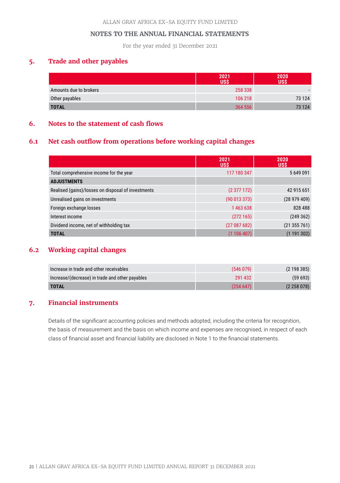For the year ended 31 December 2021

# **5. Trade and other payables**

|                        | 2021<br>luss' | 2020<br><b>US\$</b> |
|------------------------|---------------|---------------------|
| Amounts due to brokers | 258 338       |                     |
| Other payables         | 106 218       | 73 124              |
| <b>TOTAL</b>           | 364 556       | 73 124              |

# **6. Notes to the statement of cash flows**

# **6.1 Net cash outflow from operations before working capital changes**

|                                                    | 2021<br><b>US\$</b> | 2020<br><b>USS</b> |
|----------------------------------------------------|---------------------|--------------------|
| Total comprehensive income for the year            | 117 180 347         | 5649091            |
| <b>ADJUSTMENTS</b>                                 |                     |                    |
| Realised (gains)/losses on disposal of investments | (2377172)           | 42 915 651         |
| Unrealised gains on investments                    | (90013373)          | (28979409)         |
| Foreign exchange losses                            | 1463638             | 828 488            |
| Interest income                                    | (272165)            | (249362)           |
| Dividend income, net of withholding tax            | (27087682)          | (21355761)         |
| <b>TOTAL</b>                                       | (1106407)           | (1191302)          |

# **6.2 Working capital changes**

| Increase in trade and other receivables         | (546079) | (2198385)     |
|-------------------------------------------------|----------|---------------|
| Increase/(decrease) in trade and other payables | 291 432  | (59693)       |
| <b>TOTAL</b>                                    | (254647) | (2, 258, 078) |

# **7. Financial instruments**

Details of the significant accounting policies and methods adopted, including the criteria for recognition, the basis of measurement and the basis on which income and expenses are recognised, in respect of each class of financial asset and financial liability are disclosed in Note 1 to the financial statements.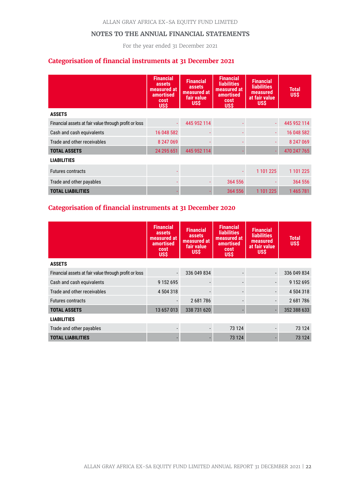For the year ended 31 December 2021

# **Categorisation of financial instruments at 31 December 2021**

|                                                       | <b>Financial</b><br>assets<br>measured at<br>amortised<br>cost<br><b>US\$</b> | <b>Financial</b><br>assets<br>measured at<br>fair value<br><b>USS</b> | <b>Financial</b><br><b>liabilities</b><br>measured at<br>amortised<br>cost<br><b>USS</b> | <b>Financial</b><br><b>liabilities</b><br>measured<br>at fair value<br><b>USS</b> | Total<br>US\$ |
|-------------------------------------------------------|-------------------------------------------------------------------------------|-----------------------------------------------------------------------|------------------------------------------------------------------------------------------|-----------------------------------------------------------------------------------|---------------|
| <b>ASSETS</b>                                         |                                                                               |                                                                       |                                                                                          |                                                                                   |               |
| Financial assets at fair value through profit or loss | ÷.                                                                            | 445 952 114                                                           |                                                                                          | ÷.                                                                                | 445 952 114   |
| Cash and cash equivalents                             | 16 048 582                                                                    |                                                                       |                                                                                          |                                                                                   | 16 048 582    |
| Trade and other receivables                           | 8 247 069                                                                     |                                                                       |                                                                                          |                                                                                   | 8 247 069     |
| <b>TOTAL ASSETS</b>                                   | 24 295 651                                                                    | 445 952 114                                                           |                                                                                          | ÷                                                                                 | 470 247 765   |
| <b>LIABILITIES</b>                                    |                                                                               |                                                                       |                                                                                          |                                                                                   |               |
| <b>Futures contracts</b>                              |                                                                               |                                                                       |                                                                                          | 1 101 225                                                                         | 1 101 225     |
| Trade and other payables                              |                                                                               |                                                                       | 364 556                                                                                  |                                                                                   | 364 556       |
| <b>TOTAL LIABILITIES</b>                              |                                                                               |                                                                       | 364 556                                                                                  | 1 101 225                                                                         | 1465781       |

# **Categorisation of financial instruments at 31 December 2020**

|                                                       | <b>Financial</b><br>assets<br>measured at<br>amortised<br>cost<br><b>US\$</b> | <b>Financial</b><br>assets<br>measured at<br>fair value<br><b>US\$</b> | <b>Financial</b><br><b>liabilities</b><br>measured at<br>amortised<br>cost<br><b>USS</b> | <b>Financial</b><br><b>liabilities</b><br>measured<br>at fair value<br><b>USS</b> | <b>Total</b><br><b>US\$</b> |
|-------------------------------------------------------|-------------------------------------------------------------------------------|------------------------------------------------------------------------|------------------------------------------------------------------------------------------|-----------------------------------------------------------------------------------|-----------------------------|
| <b>ASSETS</b>                                         |                                                                               |                                                                        |                                                                                          |                                                                                   |                             |
| Financial assets at fair value through profit or loss | $\overline{\phantom{a}}$                                                      | 336 049 834                                                            |                                                                                          | $\frac{1}{2}$                                                                     | 336 049 834                 |
| Cash and cash equivalents                             | 9 1 5 2 6 9 5                                                                 |                                                                        |                                                                                          | $\overline{\phantom{m}}$                                                          | 9 1 5 2 6 9 5               |
| Trade and other receivables                           | 4 504 318                                                                     |                                                                        |                                                                                          |                                                                                   | 4 504 318                   |
| <b>Futures contracts</b>                              | $\overline{\phantom{a}}$                                                      | 2681786                                                                |                                                                                          |                                                                                   | 2681786                     |
| <b>TOTAL ASSETS</b>                                   | 13 657 013                                                                    | 338 731 620                                                            |                                                                                          | ä,                                                                                | 352 388 633                 |
| <b>LIABILITIES</b>                                    |                                                                               |                                                                        |                                                                                          |                                                                                   |                             |
| Trade and other payables                              |                                                                               |                                                                        | 73 124                                                                                   |                                                                                   | 73 124                      |
| <b>TOTAL LIABILITIES</b>                              |                                                                               |                                                                        | 73 124                                                                                   |                                                                                   | 73 124                      |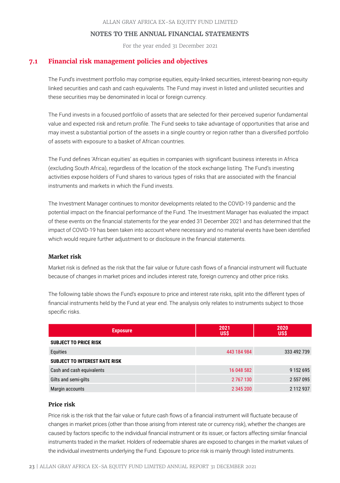For the year ended 31 December 2021

# **7.1 Financial risk management policies and objectives**

The Fund's investment portfolio may comprise equities, equity-linked securities, interest-bearing non-equity linked securities and cash and cash equivalents. The Fund may invest in listed and unlisted securities and these securities may be denominated in local or foreign currency.

The Fund invests in a focused portfolio of assets that are selected for their perceived superior fundamental value and expected risk and return profile. The Fund seeks to take advantage of opportunities that arise and may invest a substantial portion of the assets in a single country or region rather than a diversified portfolio of assets with exposure to a basket of African countries.

The Fund defines 'African equities' as equities in companies with significant business interests in Africa (excluding South Africa), regardless of the location of the stock exchange listing. The Fund's investing activities expose holders of Fund shares to various types of risks that are associated with the financial instruments and markets in which the Fund invests.

The Investment Manager continues to monitor developments related to the COVID-19 pandemic and the potential impact on the financial performance of the Fund. The Investment Manager has evaluated the impact of these events on the financial statements for the year ended 31 December 2021 and has determined that the impact of COVID-19 has been taken into account where necessary and no material events have been identified which would require further adjustment to or disclosure in the financial statements.

# **Market risk**

Market risk is defined as the risk that the fair value or future cash flows of a financial instrument will fluctuate because of changes in market prices and includes interest rate, foreign currency and other price risks.

The following table shows the Fund's exposure to price and interest rate risks, split into the different types of financial instruments held by the Fund at year end. The analysis only relates to instruments subject to those specific risks.

| <b>Exposure</b>                      | 2021<br><b>US\$</b> | 2020<br><b>USS</b> |
|--------------------------------------|---------------------|--------------------|
| <b>SUBJECT TO PRICE RISK</b>         |                     |                    |
| Equities                             | 443 184 984         | 333 492 739        |
| <b>SUBJECT TO INTEREST RATE RISK</b> |                     |                    |
| Cash and cash equivalents            | 16 048 582          | 9 1 5 2 6 9 5      |
| Gilts and semi-gilts                 | 2 767 130           | 2 557 095          |
| Margin accounts                      | 2 345 200           | 2 112 937          |

# **Price risk**

Price risk is the risk that the fair value or future cash flows of a financial instrument will fluctuate because of changes in market prices (other than those arising from interest rate or currency risk), whether the changes are caused by factors specific to the individual financial instrument or its issuer, or factors affecting similar financial instruments traded in the market. Holders of redeemable shares are exposed to changes in the market values of the individual investments underlying the Fund. Exposure to price risk is mainly through listed instruments.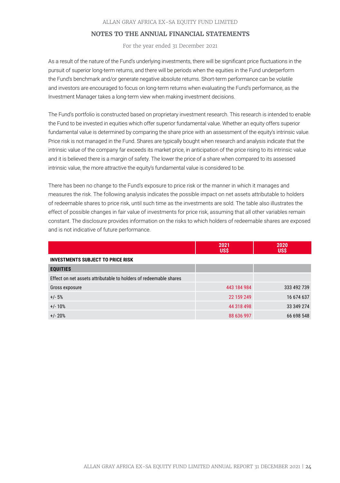For the year ended 31 December 2021

As a result of the nature of the Fund's underlying investments, there will be significant price fluctuations in the pursuit of superior long-term returns, and there will be periods when the equities in the Fund underperform the Fund's benchmark and/or generate negative absolute returns. Short-term performance can be volatile and investors are encouraged to focus on long-term returns when evaluating the Fund's performance, as the Investment Manager takes a long-term view when making investment decisions.

The Fund's portfolio is constructed based on proprietary investment research. This research is intended to enable the Fund to be invested in equities which offer superior fundamental value. Whether an equity offers superior fundamental value is determined by comparing the share price with an assessment of the equity's intrinsic value. Price risk is not managed in the Fund. Shares are typically bought when research and analysis indicate that the intrinsic value of the company far exceeds its market price, in anticipation of the price rising to its intrinsic value and it is believed there is a margin of safety. The lower the price of a share when compared to its assessed intrinsic value, the more attractive the equity's fundamental value is considered to be.

There has been no change to the Fund's exposure to price risk or the manner in which it manages and measures the risk. The following analysis indicates the possible impact on net assets attributable to holders of redeemable shares to price risk, until such time as the investments are sold. The table also illustrates the effect of possible changes in fair value of investments for price risk, assuming that all other variables remain constant. The disclosure provides information on the risks to which holders of redeemable shares are exposed and is not indicative of future performance.

|                                                                   | 2021<br>US\$ | 2020<br><b>US\$</b> |
|-------------------------------------------------------------------|--------------|---------------------|
| <b>INVESTMENTS SUBJECT TO PRICE RISK</b>                          |              |                     |
| <b>EQUITIES</b>                                                   |              |                     |
| Effect on net assets attributable to holders of redeemable shares |              |                     |
| Gross exposure                                                    | 443 184 984  | 333 492 739         |
| $+/- 5%$                                                          | 22 159 249   | 16 674 637          |
| $+/- 10%$                                                         | 44 318 498   | 33 349 274          |
| $+/- 20%$                                                         | 88 636 997   | 66 698 548          |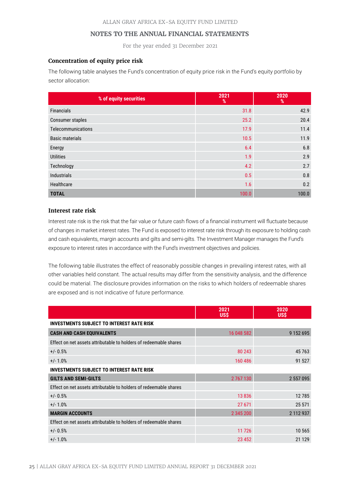For the year ended 31 December 2021

### **Concentration of equity price risk**

The following table analyses the Fund's concentration of equity price risk in the Fund's equity portfolio by sector allocation:

| % of equity securities | 2021<br>% | 2020<br>% |
|------------------------|-----------|-----------|
| <b>Financials</b>      | 31.8      | 42.9      |
| Consumer staples       | 25.2      | 20.4      |
| Telecommunications     | 17.9      | 11.4      |
| <b>Basic materials</b> | 10.5      | 11.9      |
| Energy                 | 6.4       | 6.8       |
| <b>Utilities</b>       | 1.9       | 2.9       |
| Technology             | 4.2       | 2.7       |
| <b>Industrials</b>     | 0.5       | 0.8       |
| Healthcare             | 1.6       | 0.2       |
| <b>TOTAL</b>           | 100.0     | 100.0     |

# **Interest rate risk**

Interest rate risk is the risk that the fair value or future cash flows of a financial instrument will fluctuate because of changes in market interest rates. The Fund is exposed to interest rate risk through its exposure to holding cash and cash equivalents, margin accounts and gilts and semi-gilts. The Investment Manager manages the Fund's exposure to interest rates in accordance with the Fund's investment objectives and policies.

The following table illustrates the effect of reasonably possible changes in prevailing interest rates, with all other variables held constant. The actual results may differ from the sensitivity analysis, and the difference could be material. The disclosure provides information on the risks to which holders of redeemable shares are exposed and is not indicative of future performance.

|                                                                   | 2021<br><b>US\$</b> | 2020<br><b>USS</b> |
|-------------------------------------------------------------------|---------------------|--------------------|
| <b>INVESTMENTS SUBJECT TO INTEREST RATE RISK</b>                  |                     |                    |
| <b>CASH AND CASH EQUIVALENTS</b>                                  | 16 048 582          | 9 1 5 2 6 9 5      |
| Effect on net assets attributable to holders of redeemable shares |                     |                    |
| $+/- 0.5%$                                                        | 80 243              | 45 7 63            |
| $+/- 1.0%$                                                        | 160 486             | 91 527             |
| <b>INVESTMENTS SUBJECT TO INTEREST RATE RISK</b>                  |                     |                    |
| <b>GILTS AND SEMI-GILTS</b>                                       | 2767130             | 2 557 095          |
| Effect on net assets attributable to holders of redeemable shares |                     |                    |
| $+/- 0.5%$                                                        | 13836               | 12785              |
| $+/- 1.0%$                                                        | 27 671              | 25 571             |
| <b>MARGIN ACCOUNTS</b>                                            | 2 345 200           | 2 112 937          |
| Effect on net assets attributable to holders of redeemable shares |                     |                    |
| $+/- 0.5%$                                                        | 11726               | 10 565             |
| $+/- 1.0%$                                                        | 23 4 52             | 21 1 29            |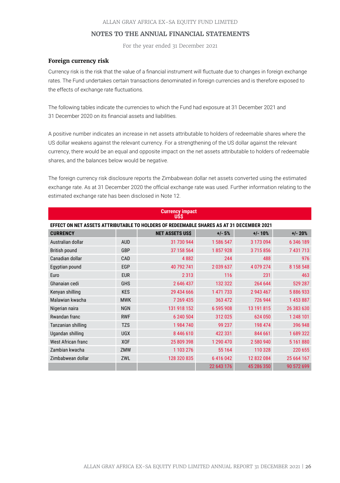For the year ended 31 December 2021

#### **Foreign currency risk**

Currency risk is the risk that the value of a financial instrument will fluctuate due to changes in foreign exchange rates. The Fund undertakes certain transactions denominated in foreign currencies and is therefore exposed to the effects of exchange rate fluctuations.

The following tables indicate the currencies to which the Fund had exposure at 31 December 2021 and 31 December 2020 on its financial assets and liabilities.

A positive number indicates an increase in net assets attributable to holders of redeemable shares where the US dollar weakens against the relevant currency. For a strengthening of the US dollar against the relevant currency, there would be an equal and opposite impact on the net assets attributable to holders of redeemable shares, and the balances below would be negative.

The foreign currency risk disclosure reports the Zimbabwean dollar net assets converted using the estimated exchange rate. As at 31 December 2020 the official exchange rate was used. Further information relating to the estimated exchange rate has been disclosed in Note 12.

| <b>Currency impact</b><br>USŚ                                                            |            |                        |               |             |               |  |  |
|------------------------------------------------------------------------------------------|------------|------------------------|---------------|-------------|---------------|--|--|
| EFFECT ON NET ASSETS ATTRIBUTABLE TO HOLDERS OF REDEEMABLE SHARES AS AT 31 DECEMBER 2021 |            |                        |               |             |               |  |  |
| <b>CURRENCY</b>                                                                          |            | <b>NET ASSETS US\$</b> | $+/-5%$       | $+/- 10%$   | $+/- 20%$     |  |  |
| Australian dollar                                                                        | <b>AUD</b> | 31 730 944             | 1 586 547     | 3 173 094   | 6 346 189     |  |  |
| <b>British pound</b>                                                                     | GBP        | 37 158 564             | 1857928       | 3715856     | 7 431 713     |  |  |
| Canadian dollar                                                                          | CAD        | 4882                   | 244           | 488         | 976           |  |  |
| Egyptian pound                                                                           | EGP        | 40 792 741             | 2 0 3 9 6 3 7 | 4 0 79 2 74 | 8 1 5 8 5 4 8 |  |  |
| Euro                                                                                     | <b>EUR</b> | 2 3 1 3                | 116           | 231         | 463           |  |  |
| Ghanaian cedi                                                                            | <b>GHS</b> | 2 646 437              | 132 322       | 264 644     | 529 287       |  |  |
| Kenyan shilling                                                                          | <b>KES</b> | 29 434 666             | 1 471 733     | 2 943 467   | 5886933       |  |  |
| Malawian kwacha                                                                          | <b>MWK</b> | 7 269 435              | 363 472       | 726 944     | 1453887       |  |  |
| Nigerian naira                                                                           | <b>NGN</b> | 131 918 152            | 6 595 908     | 13 191 815  | 26 383 630    |  |  |
| Rwandan franc                                                                            | <b>RWF</b> | 6 240 504              | 312 025       | 624 050     | 1 248 101     |  |  |
| Tanzanian shilling                                                                       | <b>TZS</b> | 1984740                | 99 237        | 198 474     | 396 948       |  |  |
| Ugandan shilling                                                                         | <b>UGX</b> | 8 446 610              | 422 331       | 844 661     | 1689322       |  |  |
| <b>West African franc</b>                                                                | <b>XOF</b> | 25 809 398             | 1 290 470     | 2 580 940   | 5 161 880     |  |  |
| Zambian kwacha                                                                           | ZMW        | 1 103 276              | 55 164        | 110 328     | 220 655       |  |  |
| Zimbabwean dollar                                                                        | ZWL        | 128 320 835            | 6416042       | 12 832 084  | 25 664 167    |  |  |
|                                                                                          |            |                        | 22 643 176    | 45 286 350  | 90 572 699    |  |  |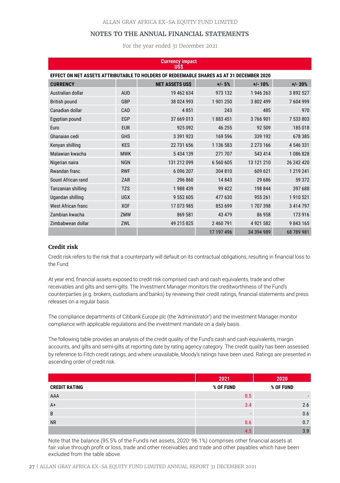For the year ended 31 December 2021

| <b>Currency impact</b><br><b>USS</b>                                                     |            |                        |               |              |               |  |
|------------------------------------------------------------------------------------------|------------|------------------------|---------------|--------------|---------------|--|
| EFFECT ON NET ASSETS ATTRIBUTABLE TO HOLDERS OF REDEEMABLE SHARES AS AT 31 DECEMBER 2020 |            |                        |               |              |               |  |
| <b>CURRENCY</b>                                                                          |            | <b>NET ASSETS US\$</b> | $+/- 5%$      | $+/- 10%$    | $+/- 20%$     |  |
| Australian dollar                                                                        | <b>AUD</b> | 19 462 634             | 973 132       | 1946263      | 3 892 527     |  |
| British pound                                                                            | GBP        | 38 024 993             | 1901250       | 3802499      | 7604999       |  |
| Canadian dollar                                                                          | CAD        | 4851                   | 243           | 485          | 970           |  |
| Egyptian pound                                                                           | EGP        | 37 669 013             | 1883451       | 3766901      | 7 533 803     |  |
| Euro                                                                                     | <b>EUR</b> | 925 092                | 46 255        | 92 509       | 185 018       |  |
| Ghanaian cedi                                                                            | <b>GHS</b> | 3 391 923              | 169 596       | 339 192      | 678 385       |  |
| Kenyan shilling                                                                          | <b>KES</b> | 22 731 656             | 1 1 3 6 5 8 3 | 2 273 166    | 4 546 331     |  |
| Malawian kwacha                                                                          | <b>MWK</b> | 5 434 139              | 271 707       | 543 414      | 1086828       |  |
| Nigerian naira                                                                           | <b>NGN</b> | 131 212 099            | 6 560 605     | 13 121 210   | 26 242 420    |  |
| Rwandan franc                                                                            | <b>RWF</b> | 6 096 207              | 304 810       | 609 621      | 1 2 1 9 2 4 1 |  |
| Sount African rand                                                                       | ZAR        | 296 860                | 14 843        | 29 68 6      | 59 372        |  |
| Tanzanian shilling                                                                       | <b>TZS</b> | 1988439                | 99 422        | 198 844      | 397 688       |  |
| Ugandan shilling                                                                         | <b>UGX</b> | 9 552 605              | 477 630       | 955 261      | 1910 521      |  |
| <b>West African franc</b>                                                                | <b>XOF</b> | 17 073 985             | 853 699       | 1707398      | 3 414 797     |  |
| Zambian kwacha                                                                           | ZMW        | 869 581                | 43 479        | 86 958       | 173 916       |  |
| Zimbabwean dollar                                                                        | ZWL        | 49 215 825             | 2 460 791     | 4 9 21 5 8 2 | 9843165       |  |
|                                                                                          |            |                        | 17 197 496    | 34 394 989   | 68 789 981    |  |

#### **Credit risk**

Credit risk refers to the risk that a counterparty will default on its contractual obligations, resulting in financial loss to the Fund.

At year end, financial assets exposed to credit risk comprised cash and cash equivalents, trade and other receivables and gilts and semi-gilts. The Investment Manager monitors the creditworthiness of the Fund's counterparties (e.g. brokers, custodians and banks) by reviewing their credit ratings, financial statements and press releases on a regular basis.

The compliance departments of Citibank Europe plc (the 'Administrator') and the Investment Manager monitor compliance with applicable regulations and the investment mandate on a daily basis.

The following table provides an analysis of the credit quality of the Fund's cash and cash equivalents, margin accounts, and gilts and semi-gilts at reporting date by rating agency category. The credit quality has been assessed by reference to Fitch credit ratings, and where unavailable, Moody's ratings have been used. Ratings are presented in ascending order of credit risk.

|                      | 2021      | 2020      |
|----------------------|-----------|-----------|
| <b>CREDIT RATING</b> | % OF FUND | % OF FUND |
| AAA                  | 0.5       |           |
| $A+$                 | 3.4       | 2.6       |
| B                    |           | 0.6       |
| <b>NR</b>            | 0.6       | 0.7       |
|                      | 4.5       | 3.9       |

Note that the balance (95.5% of the Fund's net assets, 2020: 96.1%) comprises other financial assets at fair value through profit or loss, trade and other receivables and trade and other payables which have been excluded from the table above.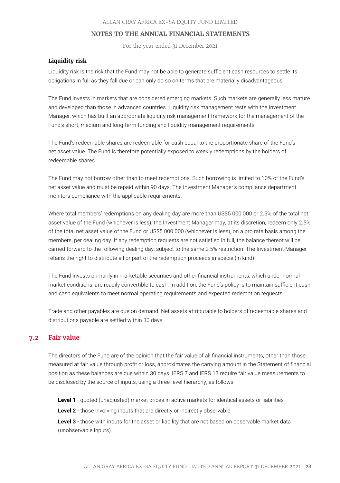For the year ended 31 December 2021

# **Liquidity risk**

Liquidity risk is the risk that the Fund may not be able to generate sufficient cash resources to settle its obligations in full as they fall due or can only do so on terms that are materially disadvantageous.

The Fund invests in markets that are considered emerging markets. Such markets are generally less mature and developed than those in advanced countries. Liquidity risk management rests with the Investment Manager, which has built an appropriate liquidity risk management framework for the management of the Fund's short, medium and long-term funding and liquidity management requirements.

The Fund's redeemable shares are redeemable for cash equal to the proportionate share of the Fund's net asset value. The Fund is therefore potentially exposed to weekly redemptions by the holders of redeemable shares.

The Fund may not borrow other than to meet redemptions. Such borrowing is limited to 10% of the Fund's net asset value and must be repaid within 90 days. The Investment Manager's compliance department monitors compliance with the applicable requirements.

Where total members' redemptions on any dealing day are more than US\$5 000 000 or 2.5% of the total net asset value of the Fund (whichever is less), the Investment Manager may, at its discretion, redeem only 2.5% of the total net asset value of the Fund or US\$5 000 000 (whichever is less), on a pro rata basis among the members, per dealing day. If any redemption requests are not satisfied in full, the balance thereof will be carried forward to the following dealing day, subject to the same 2.5% restriction. The Investment Manager retains the right to distribute all or part of the redemption proceeds in specie (in kind).

The Fund invests primarily in marketable securities and other financial instruments, which under normal market conditions, are readily convertible to cash. In addition, the Fund's policy is to maintain sufficient cash and cash equivalents to meet normal operating requirements and expected redemption requests.

Trade and other payables are due on demand. Net assets attributable to holders of redeemable shares and distributions payable are settled within 30 days.

# **7.2 Fair value**

The directors of the Fund are of the opinion that the fair value of all financial instruments, other than those measured at fair value through profit or loss, approximates the carrying amount in the Statement of financial position as these balances are due within 30 days. IFRS 7 and IFRS 13 require fair value measurements to be disclosed by the source of inputs, using a three-level hierarchy, as follows:

**Level 1** - quoted (unadjusted) market prices in active markets for identical assets or liabilities

**Level 2** - those involving inputs that are directly or indirectly observable

Level 3 - those with inputs for the asset or liability that are not based on observable market data (unobservable inputs)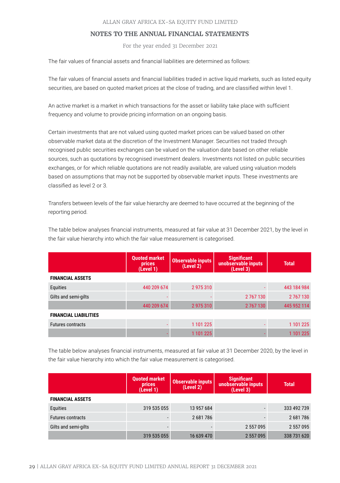For the year ended 31 December 2021

The fair values of financial assets and financial liabilities are determined as follows:

The fair values of financial assets and financial liabilities traded in active liquid markets, such as listed equity securities, are based on quoted market prices at the close of trading, and are classified within level 1.

An active market is a market in which transactions for the asset or liability take place with sufficient frequency and volume to provide pricing information on an ongoing basis.

Certain investments that are not valued using quoted market prices can be valued based on other observable market data at the discretion of the Investment Manager. Securities not traded through recognised public securities exchanges can be valued on the valuation date based on other reliable sources, such as quotations by recognised investment dealers. Investments not listed on public securities exchanges, or for which reliable quotations are not readily available, are valued using valuation models based on assumptions that may not be supported by observable market inputs. These investments are classified as level 2 or 3.

Transfers between levels of the fair value hierarchy are deemed to have occurred at the beginning of the reporting period.

The table below analyses financial instruments, measured at fair value at 31 December 2021, by the level in the fair value hierarchy into which the fair value measurement is categorised.

|                              | <b>Quoted market</b><br>prices<br>(Level 1) | <b>Observable inputs</b><br>(Level 2) | <b>Significant</b><br>unobservable inputs<br>(Level 3) | <b>Total</b> |
|------------------------------|---------------------------------------------|---------------------------------------|--------------------------------------------------------|--------------|
| <b>FINANCIAL ASSETS</b>      |                                             |                                       |                                                        |              |
| <b>Equities</b>              | 440 209 674                                 | 2975310                               |                                                        | 443 184 984  |
| Gilts and semi-gilts         |                                             |                                       | 2 767 130                                              | 2 767 130    |
|                              | 440 209 674                                 | 2975310                               | 2767130                                                | 445 952 114  |
| <b>FINANCIAL LIABILITIES</b> |                                             |                                       |                                                        |              |
| <b>Futures contracts</b>     |                                             | 1 101 225                             |                                                        | 1 101 225    |
|                              |                                             | 1 101 225                             |                                                        | 1 101 225    |

The table below analyses financial instruments, measured at fair value at 31 December 2020, by the level in the fair value hierarchy into which the fair value measurement is categorised.

|                          | <b>Quoted market</b><br><b>prices</b><br>(Level 1) | <b>Observable inputs</b><br>(Level 2) | Significant<br>unobservable inputs<br>(Level 3) | <b>Total</b> |
|--------------------------|----------------------------------------------------|---------------------------------------|-------------------------------------------------|--------------|
| <b>FINANCIAL ASSETS</b>  |                                                    |                                       |                                                 |              |
| Equities                 | 319 535 055                                        | 13 957 684                            |                                                 | 333 492 739  |
| <b>Futures contracts</b> |                                                    | 2 681 786                             |                                                 | 2681786      |
| Gilts and semi-gilts     | -                                                  |                                       | 2 557 095                                       | 2 557 095    |
|                          | 319 535 055                                        | 16 639 470                            | 2 557 095                                       | 338 731 620  |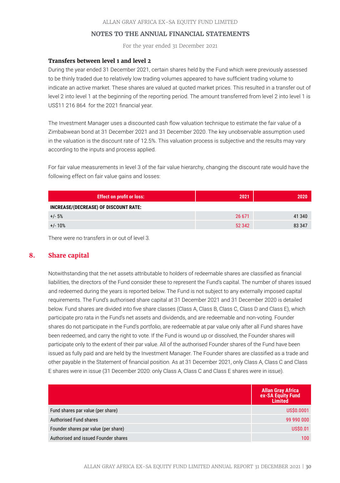For the year ended 31 December 2021

#### **Transfers between level 1 and level 2**

During the year ended 31 December 2021, certain shares held by the Fund which were previously assessed to be thinly traded due to relatively low trading volumes appeared to have sufficient trading volume to indicate an active market. These shares are valued at quoted market prices. This resulted in a transfer out of level 2 into level 1 at the beginning of the reporting period. The amount transferred from level 2 into level 1 is US\$11 216 864 for the 2021 financial year.

The Investment Manager uses a discounted cash flow valuation technique to estimate the fair value of a Zimbabwean bond at 31 December 2021 and 31 December 2020. The key unobservable assumption used in the valuation is the discount rate of 12.5%. This valuation process is subjective and the results may vary according to the inputs and process applied.

For fair value measurements in level 3 of the fair value hierarchy, changing the discount rate would have the following effect on fair value gains and losses:

| <b>Effect on profit or loss:</b>      | 2021   | 2020   |
|---------------------------------------|--------|--------|
| INCREASE/(DECREASE) OF DISCOUNT RATE: |        |        |
| $+/- 5%$                              | 26 671 | 41 340 |
| $+/- 10%$                             | 52 342 | 83 347 |

There were no transfers in or out of level 3.

# **8. Share capital**

Notwithstanding that the net assets attributable to holders of redeemable shares are classified as financial liabilities, the directors of the Fund consider these to represent the Fund's capital. The number of shares issued and redeemed during the years is reported below. The Fund is not subject to any externally imposed capital requirements. The Fund's authorised share capital at 31 December 2021 and 31 December 2020 is detailed below. Fund shares are divided into five share classes (Class A, Class B, Class C, Class D and Class E), which participate pro rata in the Fund's net assets and dividends, and are redeemable and non-voting. Founder shares do not participate in the Fund's portfolio, are redeemable at par value only after all Fund shares have been redeemed, and carry the right to vote. If the Fund is wound up or dissolved, the Founder shares will participate only to the extent of their par value. All of the authorised Founder shares of the Fund have been issued as fully paid and are held by the Investment Manager. The Founder shares are classified as a trade and other payable in the Statement of financial position. As at 31 December 2021, only Class A, Class C and Class E shares were in issue (31 December 2020: only Class A, Class C and Class E shares were in issue).

|                                      | <b>Allan Gray Africa</b><br>ex-SA Equity Fund<br><b>Limited</b> |
|--------------------------------------|-----------------------------------------------------------------|
| Fund shares par value (per share)    | US\$0.0001                                                      |
| Authorised Fund shares               | 99 990 000                                                      |
| Founder shares par value (per share) | <b>US\$0.01</b>                                                 |
| Authorised and issued Founder shares | 100 <sub>1</sub>                                                |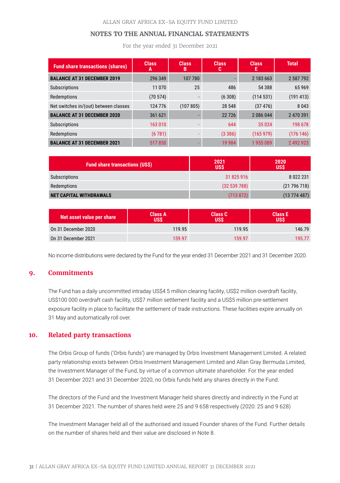For the year ended 31 December 2021

| <b>Fund share transactions (shares)</b> | <b>Class</b><br>А | <b>Class</b><br>B | <b>Class</b><br>c | <b>Class</b><br>Е | <b>Total</b> |
|-----------------------------------------|-------------------|-------------------|-------------------|-------------------|--------------|
| <b>BALANCE AT 31 DECEMBER 2019</b>      | 296 349           | 107 780           |                   | 2 183 663         | 2 587 792    |
| <b>Subscriptions</b>                    | 11 0 70           | 25                | 486               | 54 388            | 65969        |
| Redemptions                             | (70574)           |                   | (6308)            | (114531)          | (191413)     |
| Net switches in/(out) between classes   | 124 776           | (107805)          | 28 548            | (37476)           | 8 0 4 3      |
| <b>BALANCE AT 31 DECEMBER 2020</b>      | 361 621           |                   | 22726             | 2 086 044         | 2 470 391    |
| <b>Subscriptions</b>                    | 163 010           |                   | 644               | 35 0 24           | 198 678      |
| Redemptions                             | (6781)            |                   | (3386)            | (165979)          | (176146)     |
| <b>BALANCE AT 31 DECEMBER 2021</b>      | 517850            |                   | 19 9 84           | 1955089           | 2 492 923    |

| <b>Fund share transactions (US\$)</b> | 2021<br><b>USS</b> | 2020<br><b>USS</b> |
|---------------------------------------|--------------------|--------------------|
| Subscriptions                         | 31 825 916         | 8 0 2 2 2 3 1      |
| Redemptions                           | (32539788)         | (21796718)         |
| <b>NET CAPITAL WITHDRAWALS</b>        | (713 872)          | $(13\ 774\ 487)$   |

| Net asset value per share | Class A<br>บรร | <b>Class C</b><br>USŚ | <b>Class E</b><br>USŚ |
|---------------------------|----------------|-----------------------|-----------------------|
| On 31 December 2020       | 119.95         | 119.95                | 146.79                |
| On 31 December 2021       | 159.97         | 159.97                | 195.77                |

No income distributions were declared by the Fund for the year ended 31 December 2021 and 31 December 2020.

# **9. Commitments**

The Fund has a daily uncommitted intraday US\$4.5 million clearing facility, US\$2 million overdraft facility, US\$100 000 overdraft cash facility, US\$7 million settlement facility and a US\$5 million pre-settlement exposure facility in place to facilitate the settlement of trade instructions. These facilities expire annually on 31 May and automatically roll over.

# **10. Related party transactions**

The Orbis Group of funds ('Orbis funds') are managed by Orbis Investment Management Limited. A related party relationship exists between Orbis Investment Management Limited and Allan Gray Bermuda Limited, the Investment Manager of the Fund, by virtue of a common ultimate shareholder. For the year ended 31 December 2021 and 31 December 2020, no Orbis funds held any shares directly in the Fund.

The directors of the Fund and the Investment Manager held shares directly and indirectly in the Fund at 31 December 2021. The number of shares held were 25 and 9 658 respectively (2020: 25 and 9 628)

The Investment Manager held all of the authorised and issued Founder shares of the Fund. Further details on the number of shares held and their value are disclosed in Note 8.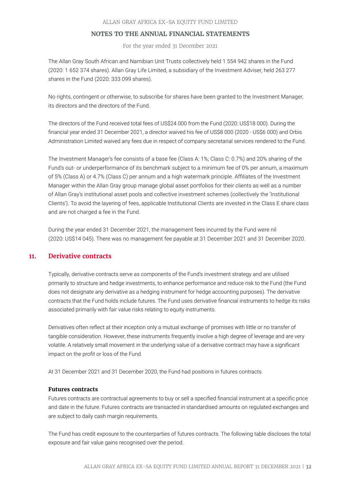For the year ended 31 December 2021

The Allan Gray South African and Namibian Unit Trusts collectively held 1 554 942 shares in the Fund (2020: 1 652 374 shares). Allan Gray Life Limited, a subsidiary of the Investment Adviser, held 263 277 shares in the Fund (2020: 333 099 shares).

No rights, contingent or otherwise, to subscribe for shares have been granted to the Investment Manager, its directors and the directors of the Fund.

The directors of the Fund received total fees of US\$24 000 from the Fund (2020: US\$18 000). During the financial year ended 31 December 2021, a director waived his fee of US\$8 000 (2020 - US\$6 000) and Orbis Administration Limited waived any fees due in respect of company secretarial services rendered to the Fund.

The Investment Manager's fee consists of a base fee (Class A: 1%; Class C: 0.7%) and 20% sharing of the Fund's out- or underperformance of its benchmark subject to a minimum fee of 0% per annum, a maximum of 5% (Class A) or 4.7% (Class C) per annum and a high watermark principle. Affiliates of the Investment Manager within the Allan Gray group manage global asset portfolios for their clients as well as a number of Allan Gray's institutional asset pools and collective investment schemes (collectively the 'Institutional Clients'). To avoid the layering of fees, applicable Institutional Clients are invested in the Class E share class and are not charged a fee in the Fund.

During the year ended 31 December 2021, the management fees incurred by the Fund were nil (2020: US\$14 045). There was no management fee payable at 31 December 2021 and 31 December 2020.

# **11. Derivative contracts**

Typically, derivative contracts serve as components of the Fund's investment strategy and are utilised primarily to structure and hedge investments, to enhance performance and reduce risk to the Fund (the Fund does not designate any derivative as a hedging instrument for hedge accounting purposes). The derivative contracts that the Fund holds include futures. The Fund uses derivative financial instruments to hedge its risks associated primarily with fair value risks relating to equity instruments.

Derivatives often reflect at their inception only a mutual exchange of promises with little or no transfer of tangible consideration. However, these instruments frequently involve a high degree of leverage and are very volatile. A relatively small movement in the underlying value of a derivative contract may have a significant impact on the profit or loss of the Fund.

At 31 December 2021 and 31 December 2020, the Fund had positions in futures contracts.

#### **Futures contracts**

Futures contracts are contractual agreements to buy or sell a specified financial instrument at a specific price and date in the future. Futures contracts are transacted in standardised amounts on regulated exchanges and are subject to daily cash margin requirements.

The Fund has credit exposure to the counterparties of futures contracts. The following table discloses the total exposure and fair value gains recognised over the period.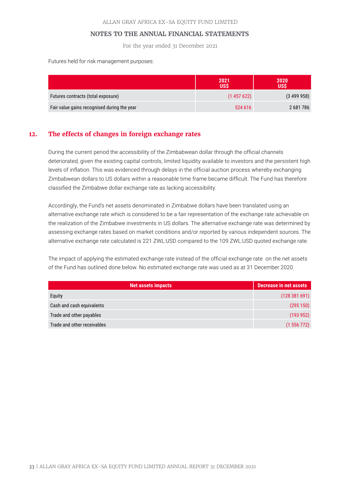For the year ended 31 December 2021

Futures held for risk management purposes:

|                                             | 2021<br>US\$ | 2020<br><b>US\$</b> |
|---------------------------------------------|--------------|---------------------|
| Futures contracts (total exposure)          | (1457622)    | (3499958)           |
| Fair value gains recognised during the year | 524 616      | 2 681 786           |

# **12. The effects of changes in foreign exchange rates**

During the current period the accessibility of the Zimbabwean dollar through the official channels deteriorated, given the existing capital controls, limited liquidity available to investors and the persistent high levels of inflation. This was evidenced through delays in the official auction process whereby exchanging Zimbabwean dollars to US dollars within a reasonable time frame became difficult. The Fund has therefore classified the Zimbabwe dollar exchange rate as lacking accessibility.

Accordingly, the Fund's net assets denominated in Zimbabwe dollars have been translated using an alternative exchange rate which is considered to be a fair representation of the exchange rate achievable on the realization of the Zimbabwe investments in US dollars. The alternative exchange rate was determined by assessing exchange rates based on market conditions and/or reported by various independent sources. The alternative exchange rate calculated is 221 ZWL:USD compared to the 109 ZWL:USD quoted exchange rate.

The impact of applying the estimated exchange rate instead of the official exchange rate on the net assets of the Fund has outlined done below. No estimated exchange rate was used as at 31 December 2020.

| <b>Net assets impacts</b>   | <b>Decrease in net assets</b> |
|-----------------------------|-------------------------------|
| Equity                      | (128381691)                   |
| Cash and cash equivalents   | (295 150)                     |
| Trade and other payables    | (193952)                      |
| Trade and other receivables | (1556772)                     |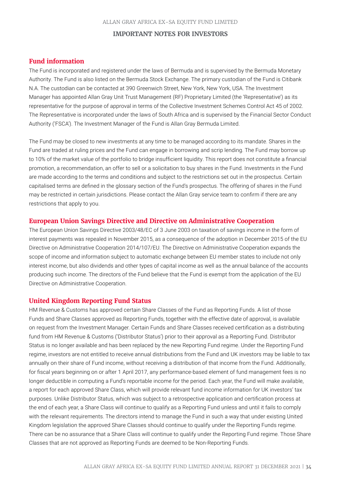# **Fund information**

The Fund is incorporated and registered under the laws of Bermuda and is supervised by the Bermuda Monetary Authority. The Fund is also listed on the Bermuda Stock Exchange. The primary custodian of the Fund is Citibank N.A. The custodian can be contacted at 390 Greenwich Street, New York, New York, USA. The Investment Manager has appointed Allan Gray Unit Trust Management (RF) Proprietary Limited (the 'Representative') as its representative for the purpose of approval in terms of the Collective Investment Schemes Control Act 45 of 2002. The Representative is incorporated under the laws of South Africa and is supervised by the Financial Sector Conduct Authority ('FSCA'). The Investment Manager of the Fund is Allan Gray Bermuda Limited.

The Fund may be closed to new investments at any time to be managed according to its mandate. Shares in the Fund are traded at ruling prices and the Fund can engage in borrowing and scrip lending. The Fund may borrow up to 10% of the market value of the portfolio to bridge insufficient liquidity. This report does not constitute a financial promotion, a recommendation, an offer to sell or a solicitation to buy shares in the Fund. Investments in the Fund are made according to the terms and conditions and subject to the restrictions set out in the prospectus. Certain capitalised terms are defined in the glossary section of the Fund's prospectus. The offering of shares in the Fund may be restricted in certain jurisdictions. Please contact the Allan Gray service team to confirm if there are any restrictions that apply to you.

#### **European Union Savings Directive and Directive on Administrative Cooperation**

The European Union Savings Directive 2003/48/EC of 3 June 2003 on taxation of savings income in the form of interest payments was repealed in November 2015, as a consequence of the adoption in December 2015 of the EU Directive on Administrative Cooperation 2014/107/EU. The Directive on Administrative Cooperation expands the scope of income and information subject to automatic exchange between EU member states to include not only interest income, but also dividends and other types of capital income as well as the annual balance of the accounts producing such income. The directors of the Fund believe that the Fund is exempt from the application of the EU Directive on Administrative Cooperation.

#### **United Kingdom Reporting Fund Status**

HM Revenue & Customs has approved certain Share Classes of the Fund as Reporting Funds. A list of those Funds and Share Classes approved as Reporting Funds, together with the effective date of approval, is available on request from the Investment Manager. Certain Funds and Share Classes received certification as a distributing fund from HM Revenue & Customs ('Distributor Status') prior to their approval as a Reporting Fund. Distributor Status is no longer available and has been replaced by the new Reporting Fund regime. Under the Reporting Fund regime, investors are not entitled to receive annual distributions from the Fund and UK investors may be liable to tax annually on their share of Fund income, without receiving a distribution of that income from the Fund. Additionally, for fiscal years beginning on or after 1 April 2017, any performance-based element of fund management fees is no longer deductible in computing a Fund's reportable income for the period. Each year, the Fund will make available, a report for each approved Share Class, which will provide relevant fund income information for UK investors' tax purposes. Unlike Distributor Status, which was subject to a retrospective application and certification process at the end of each year, a Share Class will continue to qualify as a Reporting Fund unless and until it fails to comply with the relevant requirements. The directors intend to manage the Fund in such a way that under existing United Kingdom legislation the approved Share Classes should continue to qualify under the Reporting Funds regime. There can be no assurance that a Share Class will continue to qualify under the Reporting Fund regime. Those Share Classes that are not approved as Reporting Funds are deemed to be Non-Reporting Funds.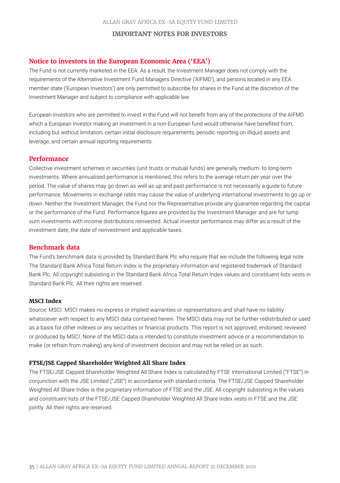# **Notice to investors in the European Economic Area ('EEA')**

The Fund is not currently marketed in the EEA. As a result, the Investment Manager does not comply with the requirements of the Alternative Investment Fund Managers Directive ('AIFMD'), and persons located in any EEA member state ('European Investors') are only permitted to subscribe for shares in the Fund at the discretion of the Investment Manager and subject to compliance with applicable law.

European Investors who are permitted to invest in the Fund will not benefit from any of the protections of the AIFMD which a European Investor making an investment in a non-European fund would otherwise have benefited from, including but without limitation, certain initial disclosure requirements, periodic reporting on illiquid assets and leverage, and certain annual reporting requirements.

# **Performance**

Collective investment schemes in securities (unit trusts or mutual funds) are generally medium- to long-term investments. Where annualised performance is mentioned, this refers to the average return per year over the period. The value of shares may go down as well as up and past performance is not necessarily a guide to future performance. Movements in exchange rates may cause the value of underlying international investments to go up or down. Neither the Investment Manager, the Fund nor the Representative provide any guarantee regarding the capital or the performance of the Fund. Performance figures are provided by the Investment Manager and are for lump sum investments with income distributions reinvested. Actual investor performance may differ as a result of the investment date, the date of reinvestment and applicable taxes.

# **Benchmark data**

The Fund's benchmark data is provided by Standard Bank Plc who require that we include the following legal note. The Standard Bank Africa Total Return Index is the proprietary information and registered trademark of Standard Bank Plc. All copyright subsisting in the Standard Bank Africa Total Return Index values and constituent lists vests in Standard Bank Plc. All their rights are reserved.

## **MSCI Index**

Source: MSCI. MSCI makes no express or implied warranties or representations and shall have no liability whatsoever with respect to any MSCI data contained herein. The MSCI data may not be further redistributed or used as a basis for other indexes or any securities or financial products. This report is not approved, endorsed, reviewed or produced by MSCI. None of the MSCI data is intended to constitute investment advice or a recommendation to make (or refrain from making) any kind of investment decision and may not be relied on as such.

# **FTSE/JSE Capped Shareholder Weighted All Share Index**

The FTSE/JSE Capped Shareholder Weighted All Share Index is calculated by FTSE International Limited ("FTSE") in conjunction with the JSE Limited ("JSE") in accordance with standard criteria. The FTSE/JSE Capped Shareholder Weighted All Share Index is the proprietary information of FTSE and the JSE. All copyright subsisting in the values and constituent lists of the FTSE/JSE Capped Shareholder Weighted All Share Index vests in FTSE and the JSE jointly. All their rights are reserved.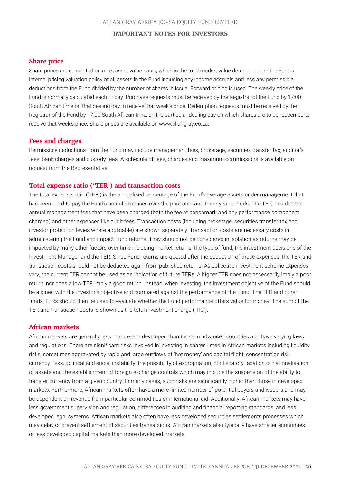# **Share price**

Share prices are calculated on a net asset value basis, which is the total market value determined per the Fund's internal pricing valuation policy of all assets in the Fund including any income accruals and less any permissible deductions from the Fund divided by the number of shares in issue. Forward pricing is used. The weekly price of the Fund is normally calculated each Friday. Purchase requests must be received by the Registrar of the Fund by 17:00 South African time on that dealing day to receive that week's price. Redemption requests must be received by the Registrar of the Fund by 17:00 South African time, on the particular dealing day on which shares are to be redeemed to receive that week's price. Share prices are available on www.allangray.co.za.

# **Fees and charges**

Permissible deductions from the Fund may include management fees, brokerage, securities transfer tax, auditor's fees, bank charges and custody fees. A schedule of fees, charges and maximum commissions is available on request from the Representative.

#### **Total expense ratio ('TER') and transaction costs**

The total expense ratio ('TER') is the annualised percentage of the Fund's average assets under management that has been used to pay the Fund's actual expenses over the past one- and three-year periods. The TER includes the annual management fees that have been charged (both the fee at benchmark and any performance component charged) and other expenses like audit fees. Transaction costs (including brokerage, securities transfer tax and investor protection levies where applicable) are shown separately. Transaction costs are necessary costs in administering the Fund and impact Fund returns. They should not be considered in isolation as returns may be impacted by many other factors over time including market returns, the type of fund, the investment decisions of the Investment Manager and the TER. Since Fund returns are quoted after the deduction of these expenses, the TER and transaction costs should not be deducted again from published returns. As collective investment scheme expenses vary, the current TER cannot be used as an indication of future TERs. A higher TER does not necessarily imply a poor return, nor does a low TER imply a good return. Instead, when investing, the investment objective of the Fund should be aligned with the investor's objective and compared against the performance of the Fund. The TER and other funds' TERs should then be used to evaluate whether the Fund performance offers value for money. The sum of the TER and transaction costs is shown as the total investment charge ('TIC').

#### **African markets**

African markets are generally less mature and developed than those in advanced countries and have varying laws and regulations. There are significant risks involved in investing in shares listed in African markets including liquidity risks, sometimes aggravated by rapid and large outflows of 'hot money' and capital flight, concentration risk, currency risks, political and social instability, the possibility of expropriation, confiscatory taxation or nationalisation of assets and the establishment of foreign exchange controls which may include the suspension of the ability to transfer currency from a given country. In many cases, such risks are significantly higher than those in developed markets. Furthermore, African markets often have a more limited number of potential buyers and issuers and may be dependent on revenue from particular commodities or international aid. Additionally, African markets may have less government supervision and regulation, differences in auditing and financial reporting standards, and less developed legal systems. African markets also often have less developed securities settlements processes which may delay or prevent settlement of securities transactions. African markets also typically have smaller economies or less developed capital markets than more developed markets.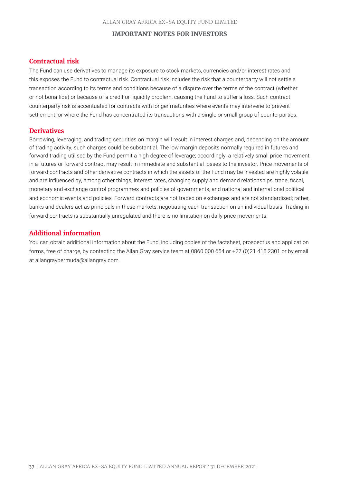# **Contractual risk**

The Fund can use derivatives to manage its exposure to stock markets, currencies and/or interest rates and this exposes the Fund to contractual risk. Contractual risk includes the risk that a counterparty will not settle a transaction according to its terms and conditions because of a dispute over the terms of the contract (whether or not bona fide) or because of a credit or liquidity problem, causing the Fund to suffer a loss. Such contract counterparty risk is accentuated for contracts with longer maturities where events may intervene to prevent settlement, or where the Fund has concentrated its transactions with a single or small group of counterparties.

# **Derivatives**

Borrowing, leveraging, and trading securities on margin will result in interest charges and, depending on the amount of trading activity, such charges could be substantial. The low margin deposits normally required in futures and forward trading utilised by the Fund permit a high degree of leverage; accordingly, a relatively small price movement in a futures or forward contract may result in immediate and substantial losses to the investor. Price movements of forward contracts and other derivative contracts in which the assets of the Fund may be invested are highly volatile and are influenced by, among other things, interest rates, changing supply and demand relationships, trade, fiscal, monetary and exchange control programmes and policies of governments, and national and international political and economic events and policies. Forward contracts are not traded on exchanges and are not standardised; rather, banks and dealers act as principals in these markets, negotiating each transaction on an individual basis. Trading in forward contracts is substantially unregulated and there is no limitation on daily price movements.

# **Additional information**

You can obtain additional information about the Fund, including copies of the factsheet, prospectus and application forms, free of charge, by contacting the Allan Gray service team at 0860 000 654 or +27 (0)21 415 2301 or by email at allangraybermuda@allangray.com.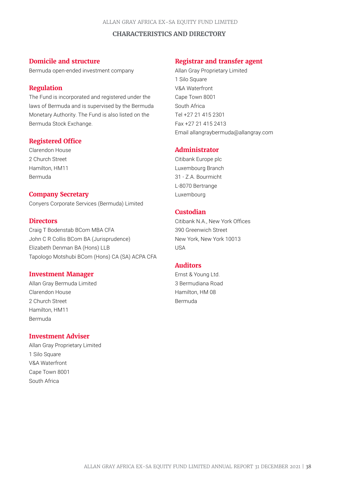# **CHARACTERISTICS AND DIRECTORY**

# **Domicile and structure**

Bermuda open-ended investment company

# **Regulation**

The Fund is incorporated and registered under the laws of Bermuda and is supervised by the Bermuda Monetary Authority. The Fund is also listed on the Bermuda Stock Exchange.

# **Registered Office**

Clarendon House 2 Church Street Hamilton, HM11 Bermuda

# **Company Secretary**

Conyers Corporate Services (Bermuda) Limited

#### **Directors**

Craig T Bodenstab BCom MBA CFA John C R Collis BCom BA (Jurisprudence) Elizabeth Denman BA (Hons) LLB Tapologo Motshubi BCom (Hons) CA (SA) ACPA CFA

#### **Investment Manager**

Allan Gray Bermuda Limited Clarendon House 2 Church Street Hamilton, HM11 Bermuda

# **Investment Adviser**

Allan Gray Proprietary Limited 1 Silo Square V&A Waterfront Cape Town 8001 South Africa

# **Registrar and transfer agent**

Allan Gray Proprietary Limited 1 Silo Square V&A Waterfront Cape Town 8001 South Africa Tel +27 21 415 2301 Fax +27 21 415 2413 Email allangraybermuda@allangray.com

# **Administrator**

Citibank Europe plc Luxembourg Branch 31 - Z.A. Bourmicht L-8070 Bertrange Luxembourg

# **Custodian**

Citibank N.A., New York Offices 390 Greenwich Street New York, New York 10013 USA

# **Auditors**

Ernst & Young Ltd. 3 Bermudiana Road Hamilton, HM 08 Bermuda